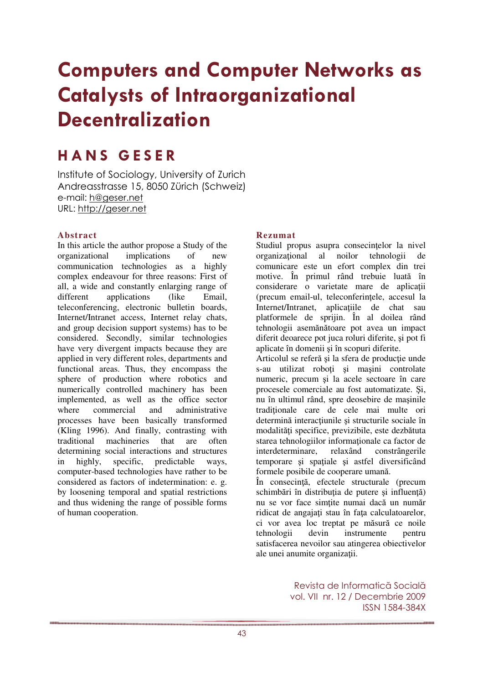# Computers and Computer Networks as Catalysts of Intraorganizational **Decentralization**

# H A N S G E S E R

Institute of Sociology, University of Zurich Andreasstrasse 15, 8050 Zürich (Schweiz) e-mail: h@geser.net URL: http://geser.net

#### **Abstract**

In this article the author propose a Study of the organizational implications of new communication technologies as a highly complex endeavour for three reasons: First of all, a wide and constantly enlarging range of different applications (like Email, teleconferencing, electronic bulletin boards, Internet/Intranet access, Internet relay chats, and group decision support systems) has to be considered. Secondly, similar technologies have very divergent impacts because they are applied in very different roles, departments and functional areas. Thus, they encompass the sphere of production where robotics and numerically controlled machinery has been implemented, as well as the office sector where commercial and administrative processes have been basically transformed (Kling 1996). And finally, contrasting with traditional machineries that are often determining social interactions and structures in highly, specific, predictable ways, computer-based technologies have rather to be considered as factors of indetermination: e. g. by loosening temporal and spatial restrictions and thus widening the range of possible forms of human cooperation.

#### **Rezumat**

Studiul propus asupra consecintelor la nivel organizaţional al noilor tehnologii de comunicare este un efort complex din trei motive. În primul rând trebuie luată în considerare o varietate mare de aplicaţii (precum email-ul, teleconferinţele, accesul la Internet/Intranet, aplicatiile de chat sau platformele de sprijin. În al doilea rând tehnologii asemănătoare pot avea un impact diferit deoarece pot juca roluri diferite, şi pot fi aplicate în domenii şi în scopuri diferite.

Articolul se referă şi la sfera de producţie unde s-au utilizat roboţi şi maşini controlate numeric, precum şi la acele sectoare în care procesele comerciale au fost automatizate. Şi, nu în ultimul rând, spre deosebire de maşinile traditionale care de cele mai multe ori determină interacţiunile şi structurile sociale în modalităţi specifice, previzibile, este dezbătuta starea tehnologiilor informationale ca factor de interdeterminare, relaxând constrângerile temporare și spațiale și astfel diversificând formele posibile de cooperare umană.

În consecinţă, efectele structurale (precum schimbări în distribuția de putere și influență) nu se vor face simţite numai dacă un număr ridicat de angajati stau în fata calculatoarelor, ci vor avea loc treptat pe măsură ce noile tehnologii devin instrumente pentru satisfacerea nevoilor sau atingerea obiectivelor ale unei anumite organizații.

> Revista de Informatică Socială vol. VII nr. 12 / Decembrie 2009 ISSN 1584-384X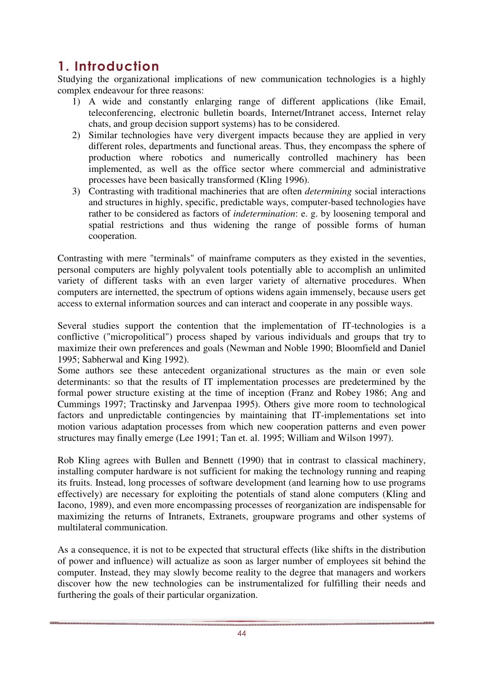### 1. Introduction

Studying the organizational implications of new communication technologies is a highly complex endeavour for three reasons:

- 1) A wide and constantly enlarging range of different applications (like Email, teleconferencing, electronic bulletin boards, Internet/Intranet access, Internet relay chats, and group decision support systems) has to be considered.
- 2) Similar technologies have very divergent impacts because they are applied in very different roles, departments and functional areas. Thus, they encompass the sphere of production where robotics and numerically controlled machinery has been implemented, as well as the office sector where commercial and administrative processes have been basically transformed (Kling 1996).
- 3) Contrasting with traditional machineries that are often *determining* social interactions and structures in highly, specific, predictable ways, computer-based technologies have rather to be considered as factors of *indetermination*: e. g. by loosening temporal and spatial restrictions and thus widening the range of possible forms of human cooperation.

Contrasting with mere "terminals" of mainframe computers as they existed in the seventies, personal computers are highly polyvalent tools potentially able to accomplish an unlimited variety of different tasks with an even larger variety of alternative procedures. When computers are internetted, the spectrum of options widens again immensely, because users get access to external information sources and can interact and cooperate in any possible ways.

Several studies support the contention that the implementation of IT-technologies is a conflictive ("micropolitical") process shaped by various individuals and groups that try to maximize their own preferences and goals (Newman and Noble 1990; Bloomfield and Daniel 1995; Sabherwal and King 1992).

Some authors see these antecedent organizational structures as the main or even sole determinants: so that the results of IT implementation processes are predetermined by the formal power structure existing at the time of inception (Franz and Robey 1986; Ang and Cummings 1997; Tractinsky and Jarvenpaa 1995). Others give more room to technological factors and unpredictable contingencies by maintaining that IT-implementations set into motion various adaptation processes from which new cooperation patterns and even power structures may finally emerge (Lee 1991; Tan et. al. 1995; William and Wilson 1997).

Rob Kling agrees with Bullen and Bennett (1990) that in contrast to classical machinery, installing computer hardware is not sufficient for making the technology running and reaping its fruits. Instead, long processes of software development (and learning how to use programs effectively) are necessary for exploiting the potentials of stand alone computers (Kling and Iacono, 1989), and even more encompassing processes of reorganization are indispensable for maximizing the returns of Intranets, Extranets, groupware programs and other systems of multilateral communication.

As a consequence, it is not to be expected that structural effects (like shifts in the distribution of power and influence) will actualize as soon as larger number of employees sit behind the computer. Instead, they may slowly become reality to the degree that managers and workers discover how the new technologies can be instrumentalized for fulfilling their needs and furthering the goals of their particular organization.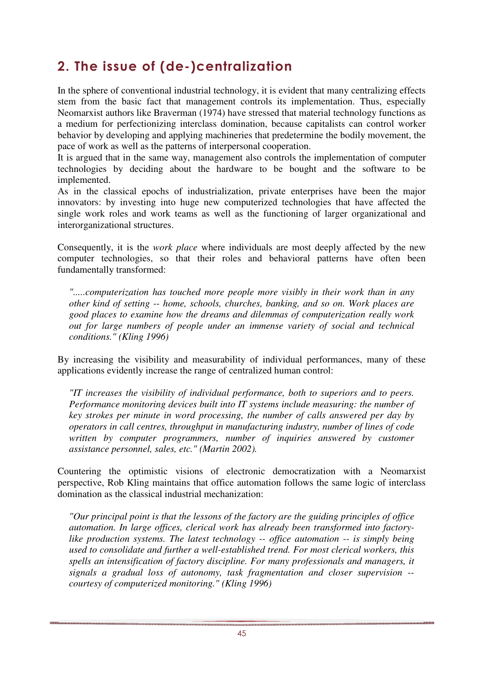# 2. The issue of (de-)centralization

In the sphere of conventional industrial technology, it is evident that many centralizing effects stem from the basic fact that management controls its implementation. Thus, especially Neomarxist authors like Braverman (1974) have stressed that material technology functions as a medium for perfectionizing interclass domination, because capitalists can control worker behavior by developing and applying machineries that predetermine the bodily movement, the pace of work as well as the patterns of interpersonal cooperation.

It is argued that in the same way, management also controls the implementation of computer technologies by deciding about the hardware to be bought and the software to be implemented.

As in the classical epochs of industrialization, private enterprises have been the major innovators: by investing into huge new computerized technologies that have affected the single work roles and work teams as well as the functioning of larger organizational and interorganizational structures.

Consequently, it is the *work place* where individuals are most deeply affected by the new computer technologies, so that their roles and behavioral patterns have often been fundamentally transformed:

*".....computerization has touched more people more visibly in their work than in any other kind of setting -- home, schools, churches, banking, and so on. Work places are good places to examine how the dreams and dilemmas of computerization really work out for large numbers of people under an immense variety of social and technical conditions." (Kling 1996)* 

By increasing the visibility and measurability of individual performances, many of these applications evidently increase the range of centralized human control:

*"IT increases the visibility of individual performance, both to superiors and to peers. Performance monitoring devices built into IT systems include measuring: the number of key strokes per minute in word processing, the number of calls answered per day by operators in call centres, throughput in manufacturing industry, number of lines of code*  written by computer programmers, number of inquiries answered by customer *assistance personnel, sales, etc." (Martin 2002).* 

Countering the optimistic visions of electronic democratization with a Neomarxist perspective, Rob Kling maintains that office automation follows the same logic of interclass domination as the classical industrial mechanization:

*"Our principal point is that the lessons of the factory are the guiding principles of office automation. In large offices, clerical work has already been transformed into factorylike production systems. The latest technology -- office automation -- is simply being used to consolidate and further a well-established trend. For most clerical workers, this spells an intensification of factory discipline. For many professionals and managers, it signals a gradual loss of autonomy, task fragmentation and closer supervision - courtesy of computerized monitoring." (Kling 1996)*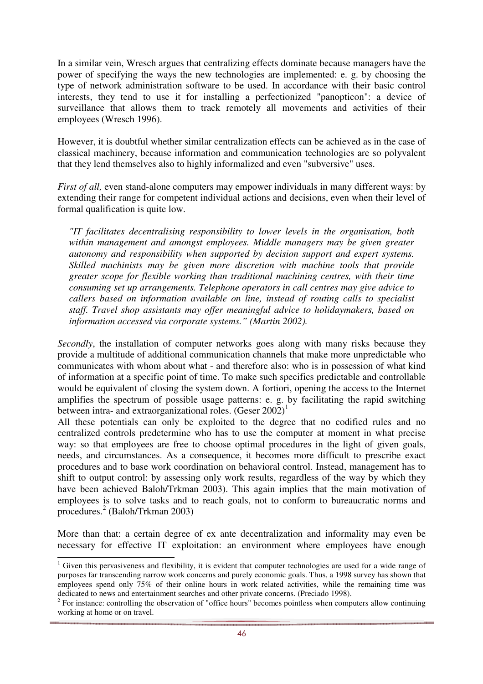In a similar vein, Wresch argues that centralizing effects dominate because managers have the power of specifying the ways the new technologies are implemented: e. g. by choosing the type of network administration software to be used. In accordance with their basic control interests, they tend to use it for installing a perfectionized "panopticon": a device of surveillance that allows them to track remotely all movements and activities of their employees (Wresch 1996).

However, it is doubtful whether similar centralization effects can be achieved as in the case of classical machinery, because information and communication technologies are so polyvalent that they lend themselves also to highly informalized and even "subversive" uses.

*First of all,* even stand-alone computers may empower individuals in many different ways: by extending their range for competent individual actions and decisions, even when their level of formal qualification is quite low.

*"IT facilitates decentralising responsibility to lower levels in the organisation, both within management and amongst employees. Middle managers may be given greater autonomy and responsibility when supported by decision support and expert systems. Skilled machinists may be given more discretion with machine tools that provide greater scope for flexible working than traditional machining centres, with their time consuming set up arrangements. Telephone operators in call centres may give advice to callers based on information available on line, instead of routing calls to specialist staff. Travel shop assistants may offer meaningful advice to holidaymakers, based on information accessed via corporate systems." (Martin 2002).* 

*Secondly*, the installation of computer networks goes along with many risks because they provide a multitude of additional communication channels that make more unpredictable who communicates with whom about what - and therefore also: who is in possession of what kind of information at a specific point of time. To make such specifics predictable and controllable would be equivalent of closing the system down. A fortiori, opening the access to the Internet amplifies the spectrum of possible usage patterns: e. g. by facilitating the rapid switching between intra- and extraorganizational roles.  $(Geser 2002)^1$ 

All these potentials can only be exploited to the degree that no codified rules and no centralized controls predetermine who has to use the computer at moment in what precise way: so that employees are free to choose optimal procedures in the light of given goals, needs, and circumstances. As a consequence, it becomes more difficult to prescribe exact procedures and to base work coordination on behavioral control. Instead, management has to shift to output control: by assessing only work results, regardless of the way by which they have been achieved Baloh/Trkman 2003). This again implies that the main motivation of employees is to solve tasks and to reach goals, not to conform to bureaucratic norms and procedures.<sup>2</sup> (Baloh/Trkman 2003)

More than that: a certain degree of ex ante decentralization and informality may even be necessary for effective IT exploitation: an environment where employees have enough

<sup>-</sup><sup>1</sup> Given this pervasiveness and flexibility, it is evident that computer technologies are used for a wide range of purposes far transcending narrow work concerns and purely economic goals. Thus, a 1998 survey has shown that employees spend only 75% of their online hours in work related activities, while the remaining time was dedicated to news and entertainment searches and other private concerns. (Preciado 1998).

 $2^2$  For instance: controlling the observation of "office hours" becomes pointless when computers allow continuing working at home or on travel.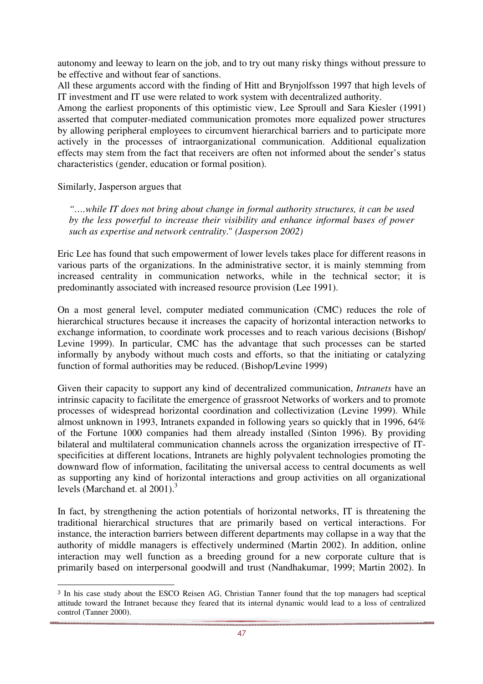autonomy and leeway to learn on the job, and to try out many risky things without pressure to be effective and without fear of sanctions.

All these arguments accord with the finding of Hitt and Brynjolfsson 1997 that high levels of IT investment and IT use were related to work system with decentralized authority.

Among the earliest proponents of this optimistic view, Lee Sproull and Sara Kiesler (1991) asserted that computer-mediated communication promotes more equalized power structures by allowing peripheral employees to circumvent hierarchical barriers and to participate more actively in the processes of intraorganizational communication. Additional equalization effects may stem from the fact that receivers are often not informed about the sender's status characteristics (gender, education or formal position).

Similarly, Jasperson argues that

-

*"….while IT does not bring about change in formal authority structures, it can be used by the less powerful to increase their visibility and enhance informal bases of power such as expertise and network centrality*." *(Jasperson 2002)* 

Eric Lee has found that such empowerment of lower levels takes place for different reasons in various parts of the organizations. In the administrative sector, it is mainly stemming from increased centrality in communication networks, while in the technical sector; it is predominantly associated with increased resource provision (Lee 1991).

On a most general level, computer mediated communication (CMC) reduces the role of hierarchical structures because it increases the capacity of horizontal interaction networks to exchange information, to coordinate work processes and to reach various decisions (Bishop/ Levine 1999). In particular, CMC has the advantage that such processes can be started informally by anybody without much costs and efforts, so that the initiating or catalyzing function of formal authorities may be reduced. (Bishop/Levine 1999)

Given their capacity to support any kind of decentralized communication, *Intranets* have an intrinsic capacity to facilitate the emergence of grassroot Networks of workers and to promote processes of widespread horizontal coordination and collectivization (Levine 1999). While almost unknown in 1993, Intranets expanded in following years so quickly that in 1996, 64% of the Fortune 1000 companies had them already installed (Sinton 1996). By providing bilateral and multilateral communication channels across the organization irrespective of ITspecificities at different locations, Intranets are highly polyvalent technologies promoting the downward flow of information, facilitating the universal access to central documents as well as supporting any kind of horizontal interactions and group activities on all organizational levels (Marchand et. al 2001).<sup>3</sup>

In fact, by strengthening the action potentials of horizontal networks, IT is threatening the traditional hierarchical structures that are primarily based on vertical interactions. For instance, the interaction barriers between different departments may collapse in a way that the authority of middle managers is effectively undermined (Martin 2002). In addition, online interaction may well function as a breeding ground for a new corporate culture that is primarily based on interpersonal goodwill and trust (Nandhakumar, 1999; Martin 2002). In

<sup>3</sup> In his case study about the ESCO Reisen AG, Christian Tanner found that the top managers had sceptical attitude toward the Intranet because they feared that its internal dynamic would lead to a loss of centralized control (Tanner 2000).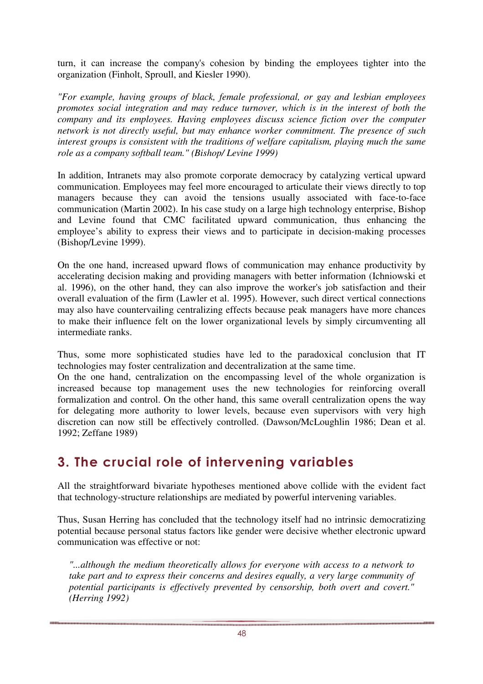turn, it can increase the company's cohesion by binding the employees tighter into the organization (Finholt, Sproull, and Kiesler 1990).

*"For example, having groups of black, female professional, or gay and lesbian employees promotes social integration and may reduce turnover, which is in the interest of both the company and its employees. Having employees discuss science fiction over the computer network is not directly useful, but may enhance worker commitment. The presence of such interest groups is consistent with the traditions of welfare capitalism, playing much the same role as a company softball team." (Bishop/ Levine 1999)* 

In addition, Intranets may also promote corporate democracy by catalyzing vertical upward communication. Employees may feel more encouraged to articulate their views directly to top managers because they can avoid the tensions usually associated with face-to-face communication (Martin 2002). In his case study on a large high technology enterprise, Bishop and Levine found that CMC facilitated upward communication, thus enhancing the employee's ability to express their views and to participate in decision-making processes (Bishop/Levine 1999).

On the one hand, increased upward flows of communication may enhance productivity by accelerating decision making and providing managers with better information (Ichniowski et al. 1996), on the other hand, they can also improve the worker's job satisfaction and their overall evaluation of the firm (Lawler et al. 1995). However, such direct vertical connections may also have countervailing centralizing effects because peak managers have more chances to make their influence felt on the lower organizational levels by simply circumventing all intermediate ranks.

Thus, some more sophisticated studies have led to the paradoxical conclusion that IT technologies may foster centralization and decentralization at the same time.

On the one hand, centralization on the encompassing level of the whole organization is increased because top management uses the new technologies for reinforcing overall formalization and control. On the other hand, this same overall centralization opens the way for delegating more authority to lower levels, because even supervisors with very high discretion can now still be effectively controlled. (Dawson/McLoughlin 1986; Dean et al. 1992; Zeffane 1989)

### 3. The crucial role of intervening variables

All the straightforward bivariate hypotheses mentioned above collide with the evident fact that technology-structure relationships are mediated by powerful intervening variables.

Thus, Susan Herring has concluded that the technology itself had no intrinsic democratizing potential because personal status factors like gender were decisive whether electronic upward communication was effective or not:

*"...although the medium theoretically allows for everyone with access to a network to take part and to express their concerns and desires equally, a very large community of potential participants is effectively prevented by censorship, both overt and covert." (Herring 1992)*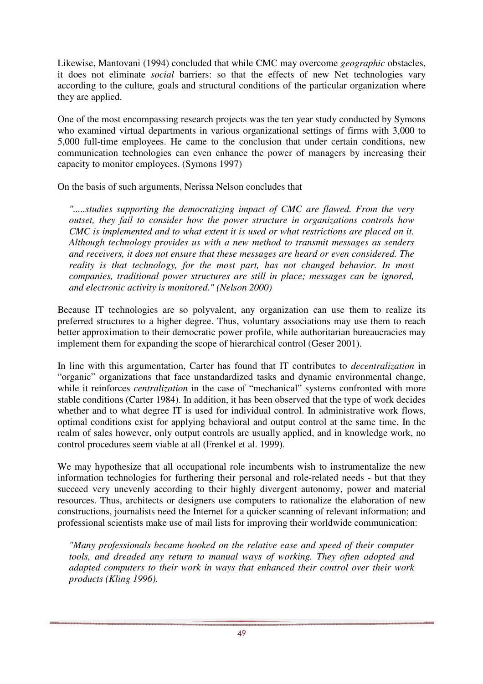Likewise, Mantovani (1994) concluded that while CMC may overcome *geographic* obstacles, it does not eliminate *social* barriers: so that the effects of new Net technologies vary according to the culture, goals and structural conditions of the particular organization where they are applied.

One of the most encompassing research projects was the ten year study conducted by Symons who examined virtual departments in various organizational settings of firms with 3,000 to 5,000 full-time employees. He came to the conclusion that under certain conditions, new communication technologies can even enhance the power of managers by increasing their capacity to monitor employees. (Symons 1997)

On the basis of such arguments, Nerissa Nelson concludes that

*".....studies supporting the democratizing impact of CMC are flawed. From the very outset, they fail to consider how the power structure in organizations controls how CMC is implemented and to what extent it is used or what restrictions are placed on it. Although technology provides us with a new method to transmit messages as senders and receivers, it does not ensure that these messages are heard or even considered. The reality is that technology, for the most part, has not changed behavior. In most companies, traditional power structures are still in place; messages can be ignored, and electronic activity is monitored." (Nelson 2000)* 

Because IT technologies are so polyvalent, any organization can use them to realize its preferred structures to a higher degree. Thus, voluntary associations may use them to reach better approximation to their democratic power profile, while authoritarian bureaucracies may implement them for expanding the scope of hierarchical control (Geser 2001).

In line with this argumentation, Carter has found that IT contributes to *decentralization* in "organic" organizations that face unstandardized tasks and dynamic environmental change, while it reinforces *centralization* in the case of "mechanical" systems confronted with more stable conditions (Carter 1984). In addition, it has been observed that the type of work decides whether and to what degree IT is used for individual control. In administrative work flows, optimal conditions exist for applying behavioral and output control at the same time. In the realm of sales however, only output controls are usually applied, and in knowledge work, no control procedures seem viable at all (Frenkel et al. 1999).

We may hypothesize that all occupational role incumbents wish to instrumentalize the new information technologies for furthering their personal and role-related needs - but that they succeed very unevenly according to their highly divergent autonomy, power and material resources. Thus, architects or designers use computers to rationalize the elaboration of new constructions, journalists need the Internet for a quicker scanning of relevant information; and professional scientists make use of mail lists for improving their worldwide communication:

*"Many professionals became hooked on the relative ease and speed of their computer tools, and dreaded any return to manual ways of working. They often adopted and adapted computers to their work in ways that enhanced their control over their work products (Kling 1996).*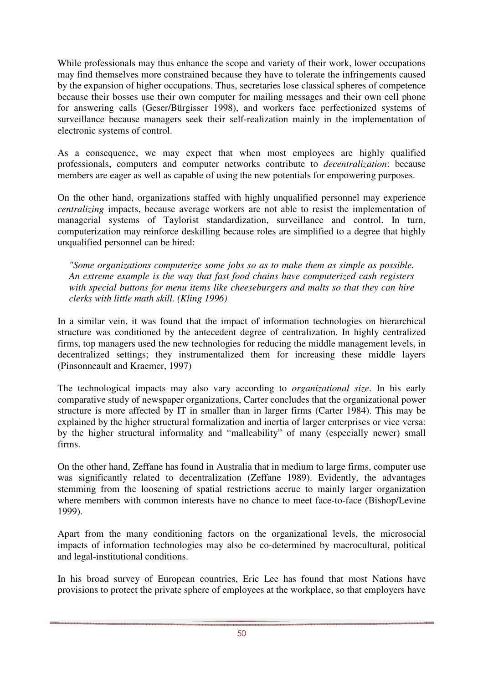While professionals may thus enhance the scope and variety of their work, lower occupations may find themselves more constrained because they have to tolerate the infringements caused by the expansion of higher occupations. Thus, secretaries lose classical spheres of competence because their bosses use their own computer for mailing messages and their own cell phone for answering calls (Geser/Bürgisser 1998), and workers face perfectionized systems of surveillance because managers seek their self-realization mainly in the implementation of electronic systems of control.

As a consequence, we may expect that when most employees are highly qualified professionals, computers and computer networks contribute to *decentralization*: because members are eager as well as capable of using the new potentials for empowering purposes.

On the other hand, organizations staffed with highly unqualified personnel may experience *centralizing* impacts, because average workers are not able to resist the implementation of managerial systems of Taylorist standardization, surveillance and control. In turn, computerization may reinforce deskilling because roles are simplified to a degree that highly unqualified personnel can be hired:

*"Some organizations computerize some jobs so as to make them as simple as possible. An extreme example is the way that fast food chains have computerized cash registers with special buttons for menu items like cheeseburgers and malts so that they can hire clerks with little math skill. (Kling 1996)* 

In a similar vein, it was found that the impact of information technologies on hierarchical structure was conditioned by the antecedent degree of centralization. In highly centralized firms, top managers used the new technologies for reducing the middle management levels, in decentralized settings; they instrumentalized them for increasing these middle layers (Pinsonneault and Kraemer, 1997)

The technological impacts may also vary according to *organizational size*. In his early comparative study of newspaper organizations, Carter concludes that the organizational power structure is more affected by IT in smaller than in larger firms (Carter 1984). This may be explained by the higher structural formalization and inertia of larger enterprises or vice versa: by the higher structural informality and "malleability" of many (especially newer) small firms.

On the other hand, Zeffane has found in Australia that in medium to large firms, computer use was significantly related to decentralization (Zeffane 1989). Evidently, the advantages stemming from the loosening of spatial restrictions accrue to mainly larger organization where members with common interests have no chance to meet face-to-face (Bishop/Levine 1999).

Apart from the many conditioning factors on the organizational levels, the microsocial impacts of information technologies may also be co-determined by macrocultural, political and legal-institutional conditions.

In his broad survey of European countries, Eric Lee has found that most Nations have provisions to protect the private sphere of employees at the workplace, so that employers have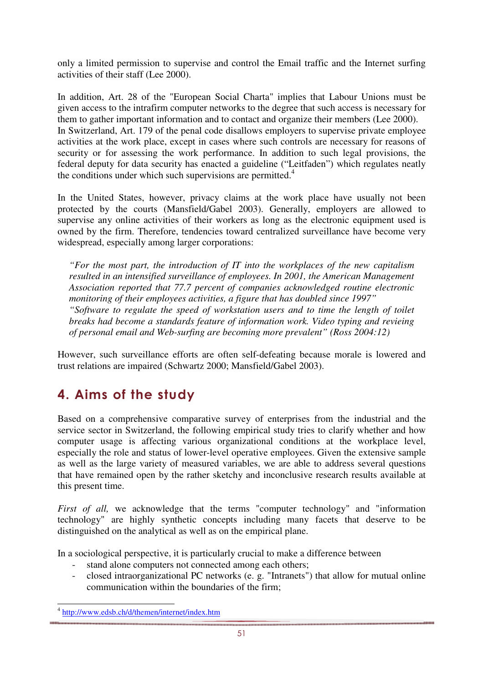only a limited permission to supervise and control the Email traffic and the Internet surfing activities of their staff (Lee 2000).

In addition, Art. 28 of the "European Social Charta" implies that Labour Unions must be given access to the intrafirm computer networks to the degree that such access is necessary for them to gather important information and to contact and organize their members (Lee 2000). In Switzerland, Art. 179 of the penal code disallows employers to supervise private employee activities at the work place, except in cases where such controls are necessary for reasons of security or for assessing the work performance. In addition to such legal provisions, the federal deputy for data security has enacted a guideline ("Leitfaden") which regulates neatly the conditions under which such supervisions are permitted.<sup>4</sup>

In the United States, however, privacy claims at the work place have usually not been protected by the courts (Mansfield/Gabel 2003). Generally, employers are allowed to supervise any online activities of their workers as long as the electronic equipment used is owned by the firm. Therefore, tendencies toward centralized surveillance have become very widespread, especially among larger corporations:

*"For the most part, the introduction of IT into the workplaces of the new capitalism resulted in an intensified surveillance of employees. In 2001, the American Management Association reported that 77.7 percent of companies acknowledged routine electronic monitoring of their employees activities, a figure that has doubled since 1997" "Software to regulate the speed of workstation users and to time the length of toilet breaks had become a standards feature of information work. Video typing and revieing of personal email and Web-surfing are becoming more prevalent" (Ross 2004:12)* 

However, such surveillance efforts are often self-defeating because morale is lowered and trust relations are impaired (Schwartz 2000; Mansfield/Gabel 2003).

### 4. Aims of the study

Based on a comprehensive comparative survey of enterprises from the industrial and the service sector in Switzerland, the following empirical study tries to clarify whether and how computer usage is affecting various organizational conditions at the workplace level, especially the role and status of lower-level operative employees. Given the extensive sample as well as the large variety of measured variables, we are able to address several questions that have remained open by the rather sketchy and inconclusive research results available at this present time.

*First of all,* we acknowledge that the terms "computer technology" and "information technology" are highly synthetic concepts including many facets that deserve to be distinguished on the analytical as well as on the empirical plane.

In a sociological perspective, it is particularly crucial to make a difference between

- stand alone computers not connected among each others;
- closed intraorganizational PC networks (e. g. "Intranets") that allow for mutual online communication within the boundaries of the firm;

<sup>&</sup>lt;sup>4</sup> http://www.edsb.ch/d/themen/internet/index.htm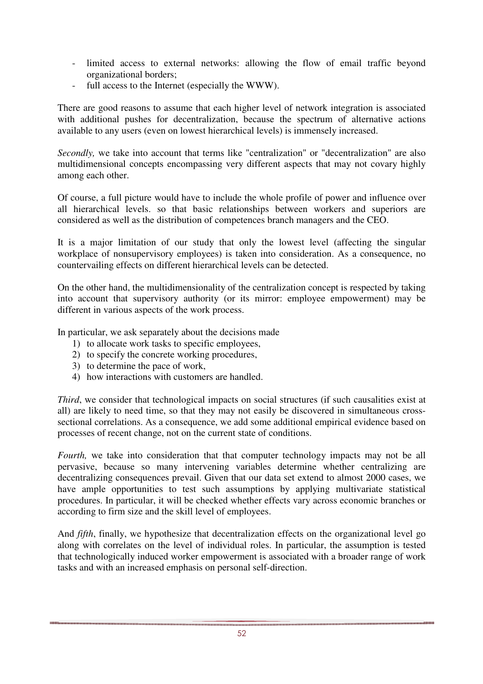- limited access to external networks: allowing the flow of email traffic beyond organizational borders;
- full access to the Internet (especially the WWW).

There are good reasons to assume that each higher level of network integration is associated with additional pushes for decentralization, because the spectrum of alternative actions available to any users (even on lowest hierarchical levels) is immensely increased.

*Secondly*, we take into account that terms like "centralization" or "decentralization" are also multidimensional concepts encompassing very different aspects that may not covary highly among each other.

Of course, a full picture would have to include the whole profile of power and influence over all hierarchical levels. so that basic relationships between workers and superiors are considered as well as the distribution of competences branch managers and the CEO.

It is a major limitation of our study that only the lowest level (affecting the singular workplace of nonsupervisory employees) is taken into consideration. As a consequence, no countervailing effects on different hierarchical levels can be detected.

On the other hand, the multidimensionality of the centralization concept is respected by taking into account that supervisory authority (or its mirror: employee empowerment) may be different in various aspects of the work process.

In particular, we ask separately about the decisions made

- 1) to allocate work tasks to specific employees,
- 2) to specify the concrete working procedures,
- 3) to determine the pace of work,
- 4) how interactions with customers are handled.

*Third*, we consider that technological impacts on social structures (if such causalities exist at all) are likely to need time, so that they may not easily be discovered in simultaneous crosssectional correlations. As a consequence, we add some additional empirical evidence based on processes of recent change, not on the current state of conditions.

*Fourth*, we take into consideration that that computer technology impacts may not be all pervasive, because so many intervening variables determine whether centralizing are decentralizing consequences prevail. Given that our data set extend to almost 2000 cases, we have ample opportunities to test such assumptions by applying multivariate statistical procedures. In particular, it will be checked whether effects vary across economic branches or according to firm size and the skill level of employees.

And *fifth*, finally, we hypothesize that decentralization effects on the organizational level go along with correlates on the level of individual roles. In particular, the assumption is tested that technologically induced worker empowerment is associated with a broader range of work tasks and with an increased emphasis on personal self-direction.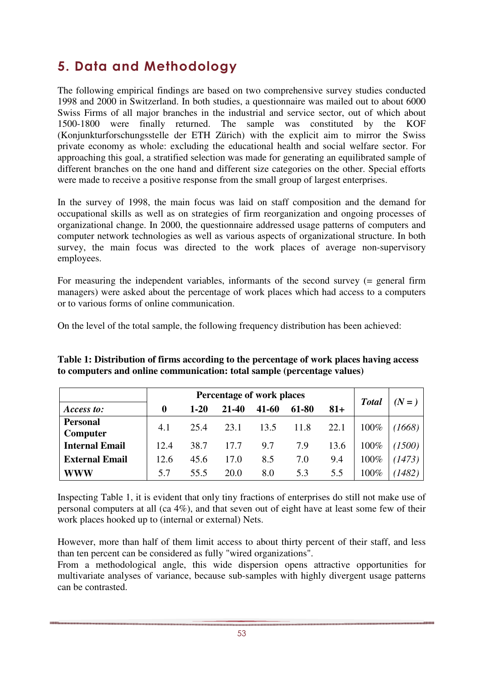### 5. Data and Methodology

The following empirical findings are based on two comprehensive survey studies conducted 1998 and 2000 in Switzerland. In both studies, a questionnaire was mailed out to about 6000 Swiss Firms of all major branches in the industrial and service sector, out of which about 1500-1800 were finally returned. The sample was constituted by the KOF (Konjunkturforschungsstelle der ETH Zürich) with the explicit aim to mirror the Swiss private economy as whole: excluding the educational health and social welfare sector. For approaching this goal, a stratified selection was made for generating an equilibrated sample of different branches on the one hand and different size categories on the other. Special efforts were made to receive a positive response from the small group of largest enterprises.

In the survey of 1998, the main focus was laid on staff composition and the demand for occupational skills as well as on strategies of firm reorganization and ongoing processes of organizational change. In 2000, the questionnaire addressed usage patterns of computers and computer network technologies as well as various aspects of organizational structure. In both survey, the main focus was directed to the work places of average non-supervisory employees.

For measuring the independent variables, informants of the second survey (= general firm managers) were asked about the percentage of work places which had access to a computers or to various forms of online communication.

On the level of the total sample, the following frequency distribution has been achieved:

|                             |                  | Percentage of work places | <b>Total</b> | $N=1$ |       |       |      |        |
|-----------------------------|------------------|---------------------------|--------------|-------|-------|-------|------|--------|
| Access to:                  | $\boldsymbol{0}$ | $1-20$                    | $21 - 40$    | 41-60 | 61-80 | $81+$ |      |        |
| <b>Personal</b><br>Computer | 4.1              | 25.4                      | 23.1         | 13.5  | 11.8  | 22.1  | 100% | (1668) |
| <b>Internal Email</b>       | 12.4             | 38.7                      | 17.7         | 9.7   | 7.9   | 13.6  | 100% | (1500) |
| <b>External Email</b>       | 12.6             | 45.6                      | 17.0         | 8.5   | 7.0   | 9.4   | 100% | (1473) |
| <b>WWW</b>                  | 5.7              | 55.5                      | 20.0         | 8.0   | 5.3   | 5.5   | 100% | (1482) |

**Table 1: Distribution of firms according to the percentage of work places having access to computers and online communication: total sample (percentage values)** 

Inspecting Table 1, it is evident that only tiny fractions of enterprises do still not make use of personal computers at all (ca 4%), and that seven out of eight have at least some few of their work places hooked up to (internal or external) Nets.

However, more than half of them limit access to about thirty percent of their staff, and less than ten percent can be considered as fully "wired organizations".

From a methodological angle, this wide dispersion opens attractive opportunities for multivariate analyses of variance, because sub-samples with highly divergent usage patterns can be contrasted.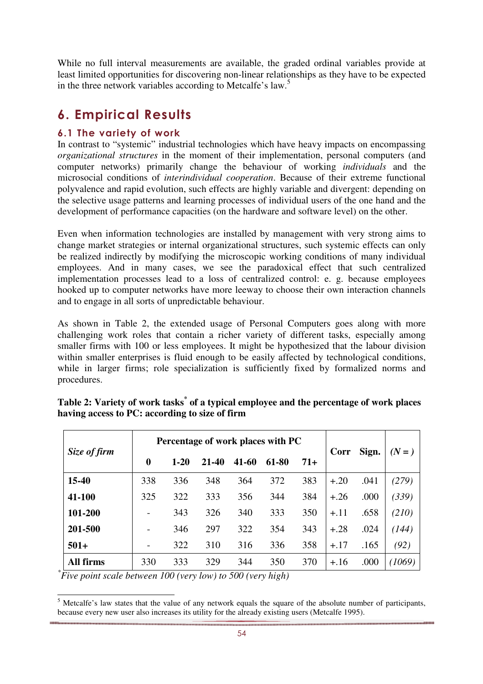While no full interval measurements are available, the graded ordinal variables provide at least limited opportunities for discovering non-linear relationships as they have to be expected in the three network variables according to Metcalfe's law.<sup>5</sup>

### 6. Empirical Results

### 6.1 The variety of work

In contrast to "systemic" industrial technologies which have heavy impacts on encompassing *organizational structures* in the moment of their implementation, personal computers (and computer networks) primarily change the behaviour of working *individuals* and the microsocial conditions of *interindividual cooperation*. Because of their extreme functional polyvalence and rapid evolution, such effects are highly variable and divergent: depending on the selective usage patterns and learning processes of individual users of the one hand and the development of performance capacities (on the hardware and software level) on the other.

Even when information technologies are installed by management with very strong aims to change market strategies or internal organizational structures, such systemic effects can only be realized indirectly by modifying the microscopic working conditions of many individual employees. And in many cases, we see the paradoxical effect that such centralized implementation processes lead to a loss of centralized control: e. g. because employees hooked up to computer networks have more leeway to choose their own interaction channels and to engage in all sorts of unpredictable behaviour.

As shown in Table 2, the extended usage of Personal Computers goes along with more challenging work roles that contain a richer variety of different tasks, especially among smaller firms with 100 or less employees. It might be hypothesized that the labour division within smaller enterprises is fluid enough to be easily affected by technological conditions, while in larger firms; role specialization is sufficiently fixed by formalized norms and procedures.

|              |                          |          |           |       | Percentage of work places with PC |       |        | $(N=)$ |        |
|--------------|--------------------------|----------|-----------|-------|-----------------------------------|-------|--------|--------|--------|
| Size of firm | $\boldsymbol{0}$         | $1 - 20$ | $21 - 40$ | 41-60 | 61-80                             | $71+$ | Corr   | Sign.  |        |
| $15 - 40$    | 338                      | 336      | 348       | 364   | 372                               | 383   | $+.20$ | .041   | (279)  |
| 41-100       | 325                      | 322      | 333       | 356   | 344                               | 384   | $+.26$ | .000   | (339)  |
| 101-200      |                          | 343      | 326       | 340   | 333                               | 350   | $+.11$ | .658   | (210)  |
| 201-500      | $\overline{\phantom{a}}$ | 346      | 297       | 322   | 354                               | 343   | $+.28$ | .024   | (144)  |
| $501+$       |                          | 322      | 310       | 316   | 336                               | 358   | $+.17$ | .165   | (92)   |
| All firms    | 330                      | 333      | 329       | 344   | 350                               | 370   | $+.16$ | .000   | (1069) |

|                                                | Table 2: Variety of work tasks <sup>*</sup> of a typical employee and the percentage of work places |
|------------------------------------------------|-----------------------------------------------------------------------------------------------------|
| having access to PC: according to size of firm |                                                                                                     |

*\* Five point scale between 100 (very low) to 500 (very high)* 

<sup>5</sup> Metcalfe's law states that the value of any network equals the square of the absolute number of participants, because every new user also increases its utility for the already existing users (Metcalfe 1995).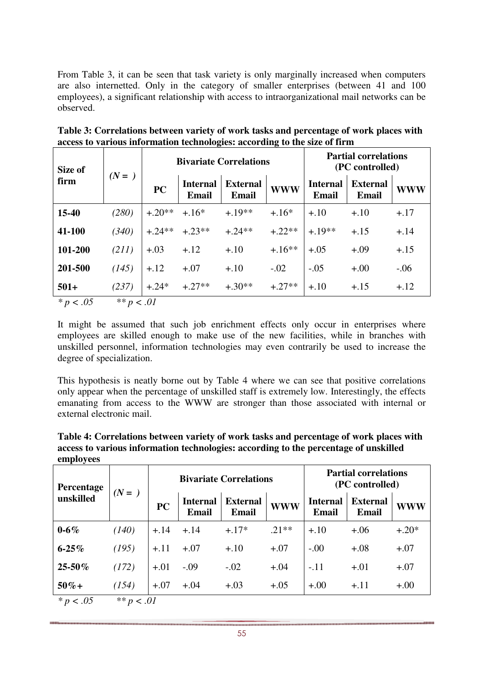From Table 3, it can be seen that task variety is only marginally increased when computers are also internetted. Only in the category of smaller enterprises (between 41 and 100 employees), a significant relationship with access to intraorganizational mail networks can be observed.

| Size of     | $(N=$ )      |           |                                 | <b>Bivariate Correlations</b> |            | <b>Partial correlations</b><br>(PC controlled) |                                 |            |  |
|-------------|--------------|-----------|---------------------------------|-------------------------------|------------|------------------------------------------------|---------------------------------|------------|--|
| firm        |              | <b>PC</b> | <b>Internal</b><br><b>Email</b> | <b>External</b><br>Email      | <b>WWW</b> | <b>Internal</b><br><b>Email</b>                | <b>External</b><br><b>Email</b> | <b>WWW</b> |  |
| 15-40       | (280)        | $+.20**$  | $+.16*$                         | $+.19**$                      | $+.16*$    | $+.10$                                         | $+.10$                          | $+.17$     |  |
| 41-100      | (340)        | $+.24**$  | $+.23**$                        | $+.24**$                      | $+.22**$   | $+.19**$                                       | $+.15$                          | $+.14$     |  |
| 101-200     | (211)        | $+.03$    | $+.12$                          | $+.10$                        | $+.16**$   | $+.05$                                         | $+.09$                          | $+.15$     |  |
| 201-500     | (145)        | $+.12$    | $+.07$                          | $+.10$                        | $-.02$     | $-.05$                                         | $+.00 +$                        | $-.06$     |  |
| $501+$      | (237)        | $+.24*$   | $+.27**$                        | $+.30**$                      | $+.27**$   | $+.10$                                         | $+.15$                          | $+.12$     |  |
| $* p$ < .05 | ** $p < .01$ |           |                                 |                               |            |                                                |                                 |            |  |

**Table 3: Correlations between variety of work tasks and percentage of work places with access to various information technologies: according to the size of firm** 

It might be assumed that such job enrichment effects only occur in enterprises where employees are skilled enough to make use of the new facilities, while in branches with unskilled personnel, information technologies may even contrarily be used to increase the degree of specialization.

This hypothesis is neatly borne out by Table 4 where we can see that positive correlations only appear when the percentage of unskilled staff is extremely low. Interestingly, the effects emanating from access to the WWW are stronger than those associated with internal or external electronic mail.

| Table 4: Correlations between variety of work tasks and percentage of work places with |
|----------------------------------------------------------------------------------------|
| access to various information technologies: according to the percentage of unskilled   |
| employees                                                                              |

| Percentage  |              |              |                                 | <b>Bivariate Correlations</b>                 |         | <b>Partial correlations</b><br>(PC controlled) |                                 |            |  |
|-------------|--------------|--------------|---------------------------------|-----------------------------------------------|---------|------------------------------------------------|---------------------------------|------------|--|
| unskilled   | $(N=)$       | <b>PC</b>    | <b>Internal</b><br><b>Email</b> | <b>External</b><br><b>WWW</b><br><b>Email</b> |         | <b>Internal</b><br><b>Email</b>                | <b>External</b><br><b>Email</b> | <b>WWW</b> |  |
| $0 - 6\%$   | (140)        | $+.14 + .14$ |                                 | $+.17*$                                       | $.21**$ | $+.10$                                         | $+.06$                          | $+.20*$    |  |
| $6 - 25%$   | (195)        | $+.11$       | $+.07$                          | $+.10$                                        | $+.07$  | $-.00$                                         | $+.08$                          | $+.07$     |  |
| 25-50%      | (172)        | $+.01$       | $-.09$                          | $-.02$                                        | $+.04$  | $-.11$                                         | $+.01$                          | $+.07$     |  |
| $50\% +$    | (154)        | $+.07$       | $+.04$                          | $+.03$                                        | $+.05$  | $+.00$                                         | $+.11$                          | $+00$      |  |
| $* p$ < .05 | ** $p < .01$ |              |                                 |                                               |         |                                                |                                 |            |  |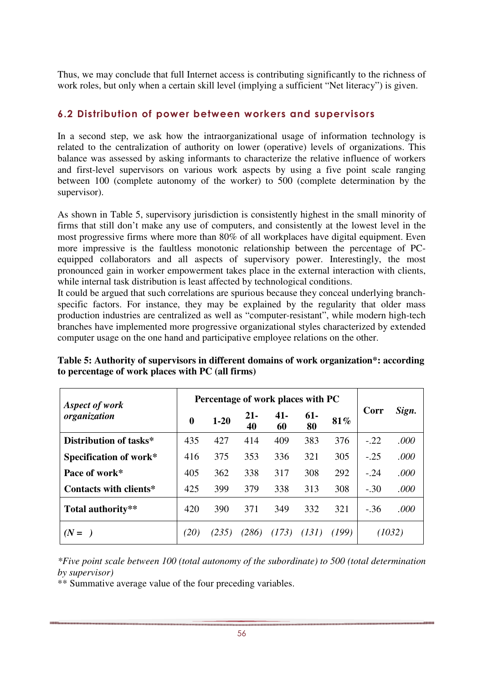Thus, we may conclude that full Internet access is contributing significantly to the richness of work roles, but only when a certain skill level (implying a sufficient "Net literacy") is given.

#### 6.2 Distribution of power between workers and supervisors

In a second step, we ask how the intraorganizational usage of information technology is related to the centralization of authority on lower (operative) levels of organizations. This balance was assessed by asking informants to characterize the relative influence of workers and first-level supervisors on various work aspects by using a five point scale ranging between 100 (complete autonomy of the worker) to 500 (complete determination by the supervisor).

As shown in Table 5, supervisory jurisdiction is consistently highest in the small minority of firms that still don't make any use of computers, and consistently at the lowest level in the most progressive firms where more than 80% of all workplaces have digital equipment. Even more impressive is the faultless monotonic relationship between the percentage of PCequipped collaborators and all aspects of supervisory power. Interestingly, the most pronounced gain in worker empowerment takes place in the external interaction with clients, while internal task distribution is least affected by technological conditions.

It could be argued that such correlations are spurious because they conceal underlying branchspecific factors. For instance, they may be explained by the regularity that older mass production industries are centralized as well as "computer-resistant", while modern high-tech branches have implemented more progressive organizational styles characterized by extended computer usage on the one hand and participative employee relations on the other.

| Aspect of work         | Percentage of work places with PC |          |              |              |             |       |        |        |
|------------------------|-----------------------------------|----------|--------------|--------------|-------------|-------|--------|--------|
| organization           | $\bf{0}$                          | $1 - 20$ | $21 -$<br>40 | $41 -$<br>60 | $61-$<br>80 | 81%   | Corr   | Sign.  |
| Distribution of tasks* | 435                               | 427      | 414          | 409          | 383         | 376   | $-.22$ | .000   |
| Specification of work* | 416                               | 375      | 353          | 336          | 321         | 305   | $-.25$ | .000   |
| Pace of work*          | 405                               | 362      | 338          | 317          | 308         | 292   | $-.24$ | .000   |
| Contacts with clients* | 425                               | 399      | 379          | 338          | 313         | 308   | $-.30$ | .000   |
| Total authority**      | 420                               | 390      | 371          | 349          | 332         | 321   | $-.36$ | .000   |
| $=$                    | (20)                              | 235      | 286)         |              | (131)       | (199) |        | (1032) |

**Table 5: Authority of supervisors in different domains of work organization\*: according to percentage of work places with PC (all firms)** 

*\*Five point scale between 100 (total autonomy of the subordinate) to 500 (total determination by supervisor)* 

\*\* Summative average value of the four preceding variables.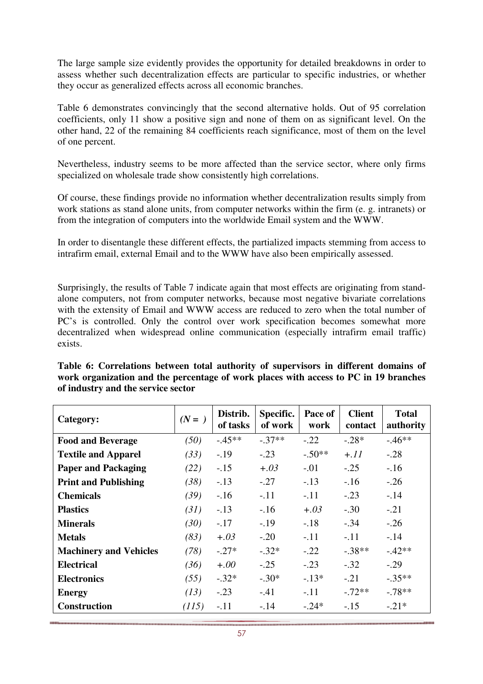The large sample size evidently provides the opportunity for detailed breakdowns in order to assess whether such decentralization effects are particular to specific industries, or whether they occur as generalized effects across all economic branches.

Table 6 demonstrates convincingly that the second alternative holds. Out of 95 correlation coefficients, only 11 show a positive sign and none of them on as significant level. On the other hand, 22 of the remaining 84 coefficients reach significance, most of them on the level of one percent.

Nevertheless, industry seems to be more affected than the service sector, where only firms specialized on wholesale trade show consistently high correlations.

Of course, these findings provide no information whether decentralization results simply from work stations as stand alone units, from computer networks within the firm (e. g. intranets) or from the integration of computers into the worldwide Email system and the WWW.

In order to disentangle these different effects, the partialized impacts stemming from access to intrafirm email, external Email and to the WWW have also been empirically assessed.

Surprisingly, the results of Table 7 indicate again that most effects are originating from standalone computers, not from computer networks, because most negative bivariate correlations with the extensity of Email and WWW access are reduced to zero when the total number of PC's is controlled. Only the control over work specification becomes somewhat more decentralized when widespread online communication (especially intrafirm email traffic) exists.

| Category:                     | $(N=)$ | Distrib.<br>of tasks | Specific.<br>of work | Pace of<br>work | <b>Client</b><br>contact | <b>Total</b><br>authority |
|-------------------------------|--------|----------------------|----------------------|-----------------|--------------------------|---------------------------|
| <b>Food and Beverage</b>      | (50)   | $-45**$              | $-.37**$             | $-.22$          | $-.28*$                  | $-46**$                   |
| <b>Textile and Apparel</b>    | (33)   | $-.19$               | $-.23$               | $-.50**$        | $+II$                    | $-.28$                    |
| <b>Paper and Packaging</b>    | (22)   | $-.15$               | $+.03$               | $-.01$          | $-.25$                   | $-.16$                    |
| <b>Print and Publishing</b>   | (38)   | $-.13$               | $-.27$               | $-.13$          | $-.16$                   | $-.26$                    |
| <b>Chemicals</b>              | (39)   | $-.16$               | $-.11$               | $-.11$          | $-.23$                   | $-.14$                    |
| <b>Plastics</b>               | (31)   | $-.13$               | $-16$                | $+.03$          | $-.30$                   | $-.21$                    |
| <b>Minerals</b>               | (30)   | $-.17$               | $-.19$               | $-.18$          | $-.34$                   | $-.26$                    |
| <b>Metals</b>                 | (83)   | $+.03$               | $-.20$               | $-.11$          | $-.11$                   | $-.14$                    |
| <b>Machinery and Vehicles</b> | (78)   | $-.27*$              | $-.32*$              | $-.22$          | $-.38**$                 | $-.42**$                  |
| <b>Electrical</b>             | (36)   | $+.00$               | $-.25$               | $-.23$          | $-.32$                   | $-.29$                    |
| <b>Electronics</b>            | (55)   | $-.32*$              | $-.30*$              | $-13*$          | $-.21$                   | $-.35**$                  |
| <b>Energy</b>                 | (13)   | $-.23$               | $-.41$               | $-.11$          | $-72**$                  | $-78**$                   |
| <b>Construction</b>           | (115)  | $-.11$               | $-.14$               | $-.24*$         | $-.15$                   | $-.21*$                   |

**Table 6: Correlations between total authority of supervisors in different domains of work organization and the percentage of work places with access to PC in 19 branches of industry and the service sector**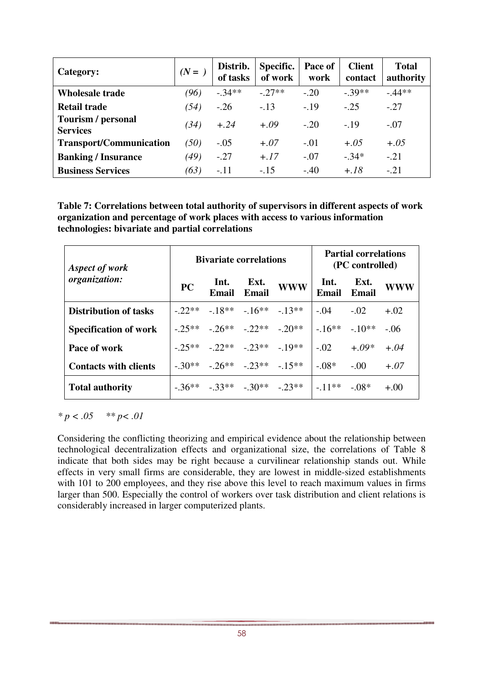| Category:                                    | $(N=)$ | Distrib.<br>of tasks | Specific.<br>of work | Pace of<br>work | <b>Client</b><br>contact | <b>Total</b><br>authority |
|----------------------------------------------|--------|----------------------|----------------------|-----------------|--------------------------|---------------------------|
| <b>Wholesale trade</b>                       | (96)   | $-.34**$             | $-.27**$             | $-.20$          | $-.39**$                 | $-44**$                   |
| <b>Retail trade</b>                          | (54)   | $-.26$               | $-.13$               | $-.19$          | $-.25$                   | $-.27$                    |
| <b>Tourism / personal</b><br><b>Services</b> | (34)   | $+.24$               | $+.09$               | $-.20$          | $-.19$                   | $-.07$                    |
| <b>Transport/Communication</b>               | (50)   | $-.05$               | $+.07$               | $-.01$          | $+.05$                   | $+.05$                    |
| <b>Banking / Insurance</b>                   | (49)   | $-.27$               | $+.17$               | $-.07$          | $-.34*$                  | $-.21$                    |
| <b>Business Services</b>                     | (63)   | $-.11$               | $-.15$               | $-.40$          | $+.18$                   | $-.21$                    |

**Table 7: Correlations between total authority of supervisors in different aspects of work organization and percentage of work places with access to various information technologies: bivariate and partial correlations** 

| Aspect of work               |    | <b>Bivariate correlations</b>                |               |                                                                  |               | <b>Partial correlations</b><br>(PC controlled) |            |  |  |
|------------------------------|----|----------------------------------------------|---------------|------------------------------------------------------------------|---------------|------------------------------------------------|------------|--|--|
| organization:                | PC | Int.<br><b>Email</b>                         | Ext.<br>Email | <b>WWW</b>                                                       | Int.<br>Email | Ext.<br>Email                                  | <b>WWW</b> |  |  |
| Distribution of tasks        |    | $-22** - 18** - 16** - 13**$                 |               |                                                                  | $-.04$        | $-.02$                                         | $+.02$     |  |  |
| <b>Specification of work</b> |    | $-25***$ $-26**$ $-22***$ $-20**$            |               |                                                                  | $-16***$      | $-10**$                                        | $-.06$     |  |  |
| Pace of work                 |    | $-25***$ $-22***$ $-23**$ $-19**$            |               |                                                                  | $-.02$        | $+ .09*$                                       | $+ .04$    |  |  |
| <b>Contacts with clients</b> |    | $-30^{***}$ $-26^{**}$ $-23^{**}$ $-15^{**}$ |               |                                                                  | $-.08*$       | $-.00.$                                        | $+.07$     |  |  |
| <b>Total authority</b>       |    |                                              |               | $-36^{**}$ $-33^{**}$ $-30^{**}$ $-23^{**}$ $-11^{**}$ $-08^{*}$ |               |                                                | $+.00$     |  |  |

*\* p < .05 \*\* p< .01* 

Considering the conflicting theorizing and empirical evidence about the relationship between technological decentralization effects and organizational size, the correlations of Table 8 indicate that both sides may be right because a curvilinear relationship stands out. While effects in very small firms are considerable, they are lowest in middle-sized establishments with 101 to 200 employees, and they rise above this level to reach maximum values in firms larger than 500. Especially the control of workers over task distribution and client relations is considerably increased in larger computerized plants.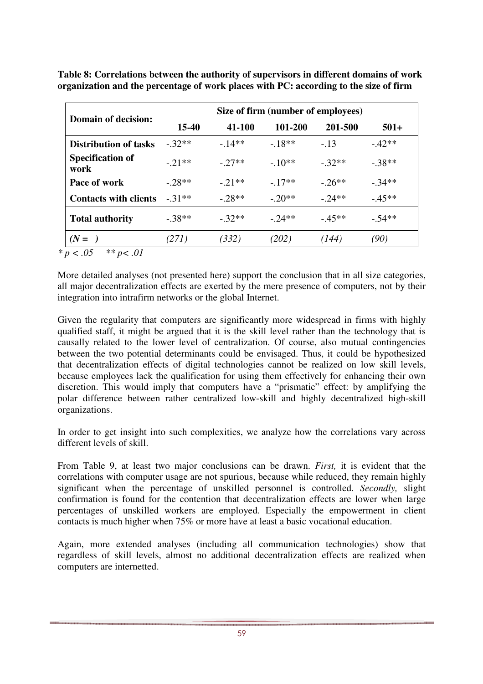| Domain of decision:             | Size of firm (number of employees) |          |         |         |          |  |  |  |
|---------------------------------|------------------------------------|----------|---------|---------|----------|--|--|--|
|                                 | 15-40                              | 41-100   | 101-200 | 201-500 | $501+$   |  |  |  |
| <b>Distribution of tasks</b>    | $-32**$                            | $-14**$  | $-18**$ | $-.13$  | $-42**$  |  |  |  |
| <b>Specification of</b><br>work | $-21**$                            | $-.27**$ | $-10**$ | $-32**$ | $-.38**$ |  |  |  |
| Pace of work                    | $-28**$                            | $-21**$  | $-17**$ | $-26**$ | $-34**$  |  |  |  |
| <b>Contacts with clients</b>    | $-31**$                            | $-28**$  | $-20**$ | $-24**$ | $-45**$  |  |  |  |
| <b>Total authority</b>          | $-38**$                            | $-32**$  | $-24**$ | $-45**$ | $-54**$  |  |  |  |
| $(N =$                          | (271)                              | (332)    | (202)   | (144)   | (90)     |  |  |  |

**Table 8: Correlations between the authority of supervisors in different domains of work organization and the percentage of work places with PC: according to the size of firm** 

*\* p < .05 \*\* p< .01* 

More detailed analyses (not presented here) support the conclusion that in all size categories, all major decentralization effects are exerted by the mere presence of computers, not by their integration into intrafirm networks or the global Internet.

Given the regularity that computers are significantly more widespread in firms with highly qualified staff, it might be argued that it is the skill level rather than the technology that is causally related to the lower level of centralization. Of course, also mutual contingencies between the two potential determinants could be envisaged. Thus, it could be hypothesized that decentralization effects of digital technologies cannot be realized on low skill levels, because employees lack the qualification for using them effectively for enhancing their own discretion. This would imply that computers have a "prismatic" effect: by amplifying the polar difference between rather centralized low-skill and highly decentralized high-skill organizations.

In order to get insight into such complexities, we analyze how the correlations vary across different levels of skill.

From Table 9, at least two major conclusions can be drawn. *First,* it is evident that the correlations with computer usage are not spurious, because while reduced, they remain highly significant when the percentage of unskilled personnel is controlled. *Secondly,* slight confirmation is found for the contention that decentralization effects are lower when large percentages of unskilled workers are employed. Especially the empowerment in client contacts is much higher when 75% or more have at least a basic vocational education.

Again, more extended analyses (including all communication technologies) show that regardless of skill levels, almost no additional decentralization effects are realized when computers are internetted.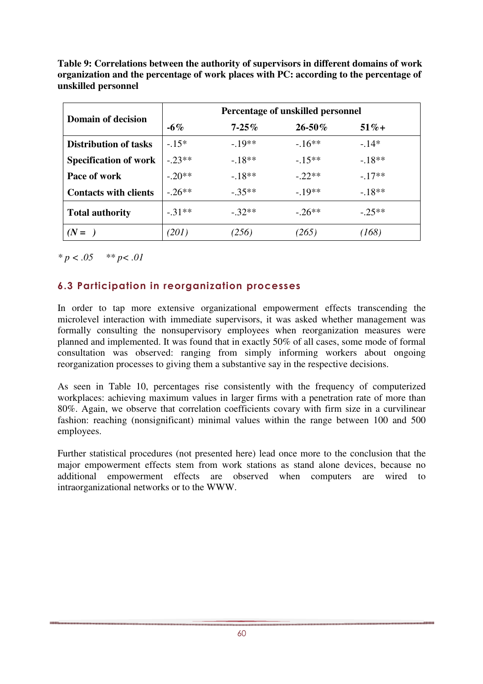**Table 9: Correlations between the authority of supervisors in different domains of work organization and the percentage of work places with PC: according to the percentage of unskilled personnel** 

| <b>Domain of decision</b>    | Percentage of unskilled personnel |            |             |          |  |  |  |  |
|------------------------------|-----------------------------------|------------|-------------|----------|--|--|--|--|
|                              | $-6\%$                            | $7 - 25\%$ | $26 - 50\%$ | $51\% +$ |  |  |  |  |
| <b>Distribution of tasks</b> | $-15*$                            | $-19**$    | $-16**$     | $-14*$   |  |  |  |  |
| <b>Specification of work</b> | $-23**$                           | $-18**$    | $-15**$     | $-18**$  |  |  |  |  |
| Pace of work                 | $-.20**$                          | $-18**$    | $-22**$     | $-17**$  |  |  |  |  |
| <b>Contacts with clients</b> | $-.26**$                          | $-.35**$   | $-19**$     | $-18**$  |  |  |  |  |
| <b>Total authority</b>       | $-31**$                           | $-.32**$   | $-26**$     | $-25**$  |  |  |  |  |
|                              | (201)                             | (256)      | (265)       | 768)     |  |  |  |  |

*\* p < .05 \*\* p< .01* 

#### 6.3 Participation in reorganization processes

In order to tap more extensive organizational empowerment effects transcending the microlevel interaction with immediate supervisors, it was asked whether management was formally consulting the nonsupervisory employees when reorganization measures were planned and implemented. It was found that in exactly 50% of all cases, some mode of formal consultation was observed: ranging from simply informing workers about ongoing reorganization processes to giving them a substantive say in the respective decisions.

As seen in Table 10, percentages rise consistently with the frequency of computerized workplaces: achieving maximum values in larger firms with a penetration rate of more than 80%. Again, we observe that correlation coefficients covary with firm size in a curvilinear fashion: reaching (nonsignificant) minimal values within the range between 100 and 500 employees.

Further statistical procedures (not presented here) lead once more to the conclusion that the major empowerment effects stem from work stations as stand alone devices, because no additional empowerment effects are observed when computers are wired to intraorganizational networks or to the WWW.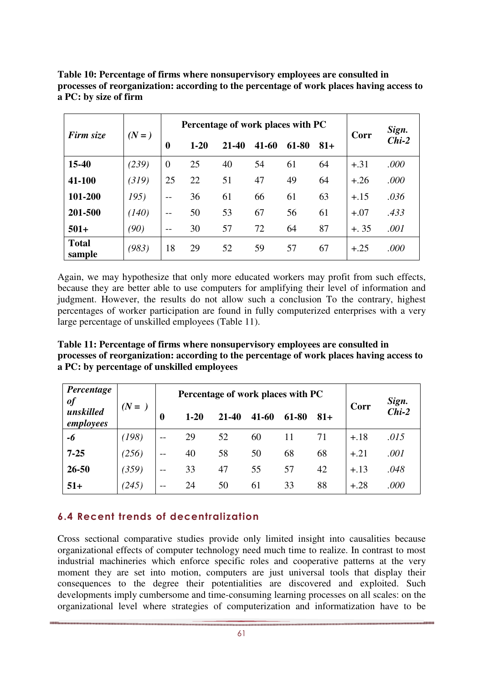**Table 10: Percentage of firms where nonsupervisory employees are consulted in processes of reorganization: according to the percentage of work places having access to a PC: by size of firm** 

| Firm size              | $(N=)$ |                   | Percentage of work places with PC | Corr      | Sign.     |       |       |        |         |
|------------------------|--------|-------------------|-----------------------------------|-----------|-----------|-------|-------|--------|---------|
|                        |        | $\boldsymbol{0}$  | $1 - 20$                          | $21 - 40$ | $41 - 60$ | 61-80 | $81+$ |        | $Chi-2$ |
| 15-40                  | (239)  | $\theta$          | 25                                | 40        | 54        | 61    | 64    | $+.31$ | .000    |
| 41-100                 | (319)  | 25                | 22                                | 51        | 47        | 49    | 64    | $+.26$ | .000    |
| 101-200                | 195)   | $\qquad \qquad -$ | 36                                | 61        | 66        | 61    | 63    | $+.15$ | .036    |
| 201-500                | (140)  | $-$               | 50                                | 53        | 67        | 56    | 61    | $+.07$ | .433    |
| $501+$                 | (90)   | $- -$             | 30                                | 57        | 72        | 64    | 87    | $+.35$ | .001    |
| <b>Total</b><br>sample | (983)  | 18                | 29                                | 52        | 59        | 57    | 67    | $+.25$ | .000    |

Again, we may hypothesize that only more educated workers may profit from such effects, because they are better able to use computers for amplifying their level of information and judgment. However, the results do not allow such a conclusion To the contrary, highest percentages of worker participation are found in fully computerized enterprises with a very large percentage of unskilled employees (Table 11).

**Table 11: Percentage of firms where nonsupervisory employees are consulted in processes of reorganization: according to the percentage of work places having access to a PC: by percentage of unskilled employees** 

| Percentage<br>of       | $(N =$ |             |          | Percentage of work places with PC |       |       |       | Corr   | Sign.    |
|------------------------|--------|-------------|----------|-----------------------------------|-------|-------|-------|--------|----------|
| unskilled<br>employees |        | $\mathbf 0$ | $1 - 20$ | 21-40                             | 41-60 | 61-80 | $81+$ |        | $Chi-2$  |
| -6                     | (198)  | $- -$       | 29       | 52                                | 60    | 11    | 71    | $+.18$ | .015     |
| $7 - 25$               | (256)  | $ -$        | 40       | 58                                | 50    | 68    | 68    | $+.21$ | .001     |
| $26 - 50$              | (359)  | $- -$       | 33       | 47                                | 55    | 57    | 42    | $+.13$ | .048     |
| $51+$                  | (245)  | $- -$       | 24       | 50                                | 61    | 33    | 88    | $+.28$ | $.000\,$ |

### 6.4 Recent trends of decentralization

Cross sectional comparative studies provide only limited insight into causalities because organizational effects of computer technology need much time to realize. In contrast to most industrial machineries which enforce specific roles and cooperative patterns at the very moment they are set into motion, computers are just universal tools that display their consequences to the degree their potentialities are discovered and exploited. Such developments imply cumbersome and time-consuming learning processes on all scales: on the organizational level where strategies of computerization and informatization have to be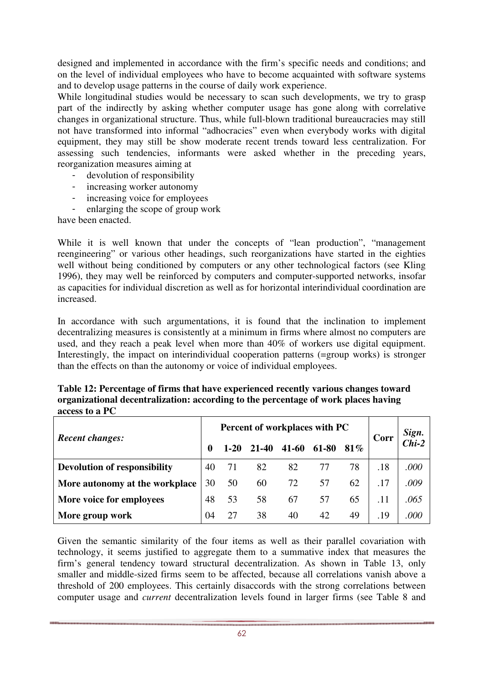designed and implemented in accordance with the firm's specific needs and conditions; and on the level of individual employees who have to become acquainted with software systems and to develop usage patterns in the course of daily work experience.

While longitudinal studies would be necessary to scan such developments, we try to grasp part of the indirectly by asking whether computer usage has gone along with correlative changes in organizational structure. Thus, while full-blown traditional bureaucracies may still not have transformed into informal "adhocracies" even when everybody works with digital equipment, they may still be show moderate recent trends toward less centralization. For assessing such tendencies, informants were asked whether in the preceding years, reorganization measures aiming at

- devolution of responsibility
- increasing worker autonomy
- increasing voice for employees
- enlarging the scope of group work

have been enacted.

While it is well known that under the concepts of "lean production", "management reengineering" or various other headings, such reorganizations have started in the eighties well without being conditioned by computers or any other technological factors (see Kling 1996), they may well be reinforced by computers and computer-supported networks, insofar as capacities for individual discretion as well as for horizontal interindividual coordination are increased.

In accordance with such argumentations, it is found that the inclination to implement decentralizing measures is consistently at a minimum in firms where almost no computers are used, and they reach a peak level when more than 40% of workers use digital equipment. Interestingly, the impact on interindividual cooperation patterns (=group works) is stronger than the effects on than the autonomy or voice of individual employees.

|                                     |    | Percent of workplaces with PC |           | Corr  | Sign.<br>Chi-2 |        |     |      |
|-------------------------------------|----|-------------------------------|-----------|-------|----------------|--------|-----|------|
| <b>Recent changes:</b>              |    | $1-20$                        | $21 - 40$ | 41-60 | 61-80          | $81\%$ |     |      |
| <b>Devolution of responsibility</b> | 40 | 71                            | 82        | 82    |                | 78     | .18 | .000 |
| More autonomy at the workplace      | 30 | 50                            | 60        | 72    | 57             | 62     | .17 | .009 |
| More voice for employees            | 48 | 53                            | 58        | 67    | 57             | 65     | .11 | .065 |
| More group work                     |    |                               | 38        | 40    | 42             | 49     | .19 | .000 |

| Table 12: Percentage of firms that have experienced recently various changes toward |
|-------------------------------------------------------------------------------------|
| organizational decentralization: according to the percentage of work places having  |
| access to a PC                                                                      |

Given the semantic similarity of the four items as well as their parallel covariation with technology, it seems justified to aggregate them to a summative index that measures the firm's general tendency toward structural decentralization. As shown in Table 13, only smaller and middle-sized firms seem to be affected, because all correlations vanish above a threshold of 200 employees. This certainly disaccords with the strong correlations between computer usage and *current* decentralization levels found in larger firms (see Table 8 and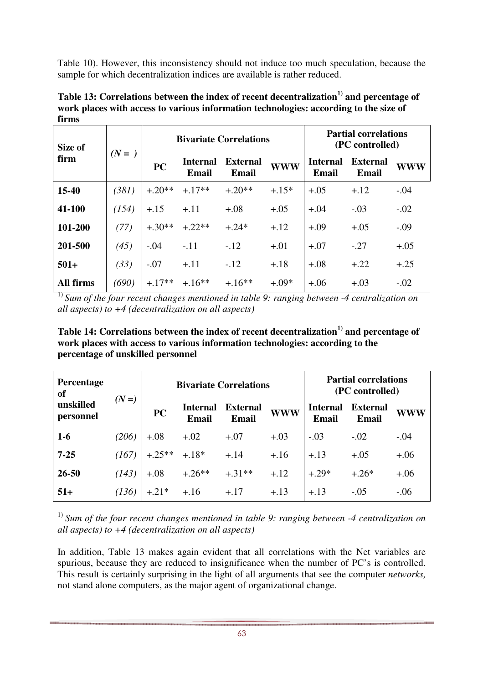Table 10). However, this inconsistency should not induce too much speculation, because the sample for which decentralization indices are available is rather reduced.

| Size of   |        |           |                                 | <b>Bivariate Correlations</b> | <b>Partial correlations</b><br>(PC controlled) |                          |                          |            |
|-----------|--------|-----------|---------------------------------|-------------------------------|------------------------------------------------|--------------------------|--------------------------|------------|
| firm      | $(N=)$ | <b>PC</b> | <b>Internal</b><br><b>Email</b> | <b>External</b><br>Email      | <b>WWW</b>                                     | <b>Internal</b><br>Email | <b>External</b><br>Email | <b>WWW</b> |
| 15-40     | (381)  | $+.20**$  | $+.17**$                        | $+.20**$                      | $+.15*$                                        | $+.05$                   | $+.12$                   | $-.04$     |
| 41-100    | (154)  | $+.15$    | $+.11$                          | $+.08$                        | $+.05$                                         | $+.04$                   | $-.03$                   | $-.02$     |
| 101-200   | (77)   | $+.30**$  | $+.22**$                        | $+.24*$                       | $+.12$                                         | $+.09$                   | $+.05$                   | $-.09$     |
| 201-500   | (45)   | $-.04$    | $-.11$                          | $-.12$                        | $+.01$                                         | $+.07$                   | $-.27$                   | $+.05$     |
| $501+$    | (33)   | $-.07$    | $+.11$                          | $-.12$                        | $+.18$                                         | $+.08$                   | $+.22$                   | $+.25$     |
| All firms | (690)  | $+.17**$  | $+.16**$                        | $+.16**$                      | $+.09*$                                        | $+.06$                   | $+.03$                   | $-.02$     |

**Table 13: Correlations between the index of recent decentralization1) and percentage of work places with access to various information technologies: according to the size of firms** 

1) *Sum of the four recent changes mentioned in table 9: ranging between -4 centralization on all aspects) to +4 (decentralization on all aspects)* 

**Table 14: Correlations between the index of recent decentralization1) and percentage of work places with access to various information technologies: according to the percentage of unskilled personnel** 

| Percentage<br>of       | $(N=)$ |          |                                 | <b>Bivariate Correlations</b>   | <b>Partial correlations</b><br>(PC controlled) |                                 |                          |            |
|------------------------|--------|----------|---------------------------------|---------------------------------|------------------------------------------------|---------------------------------|--------------------------|------------|
| unskilled<br>personnel |        | PC       | <b>Internal</b><br><b>Email</b> | <b>External</b><br><b>Email</b> | <b>WWW</b>                                     | <b>Internal</b><br><b>Email</b> | <b>External</b><br>Email | <b>WWW</b> |
| $1-6$                  | (206)  | $+.08$   | $+.02$                          | $+.07$                          | $+.03$                                         | $-.03$                          | $-.02$                   | $-.04$     |
| $7 - 25$               | (167)  | $+.25**$ | $+.18*$                         | $+.14$                          | $+.16$                                         | $+.13$                          | $+.05$                   | $+.06$     |
| $26 - 50$              | (143)  | $+.08$   | $+.26**$                        | $+.31**$                        | $+.12$                                         | $+.29*$                         | $+.26*$                  | $+.06$     |
| $51+$                  | (136)  | $+.21*$  | $+.16$                          | $+.17$                          | $+.13$                                         | $+.13$                          | $-.05$                   | $-.06$     |

<sup>1)</sup> Sum of the four recent changes mentioned in table 9: ranging between -4 centralization on *all aspects) to +4 (decentralization on all aspects)* 

In addition, Table 13 makes again evident that all correlations with the Net variables are spurious, because they are reduced to insignificance when the number of PC's is controlled. This result is certainly surprising in the light of all arguments that see the computer *networks,*  not stand alone computers, as the major agent of organizational change.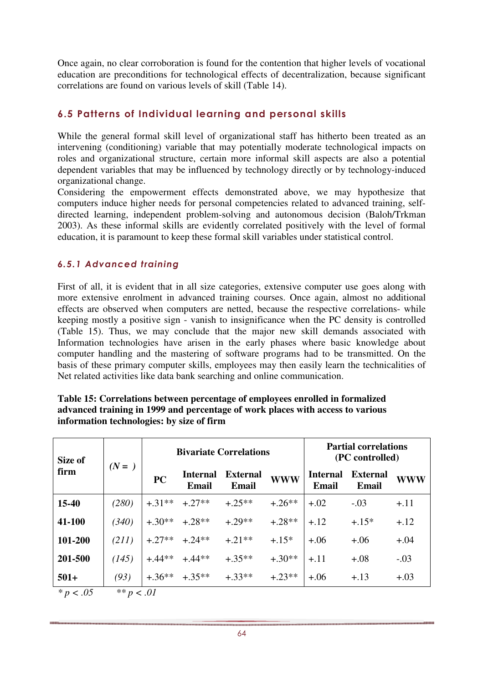Once again, no clear corroboration is found for the contention that higher levels of vocational education are preconditions for technological effects of decentralization, because significant correlations are found on various levels of skill (Table 14).

### 6.5 Patterns of Individual learning and personal skills

While the general formal skill level of organizational staff has hitherto been treated as an intervening (conditioning) variable that may potentially moderate technological impacts on roles and organizational structure, certain more informal skill aspects are also a potential dependent variables that may be influenced by technology directly or by technology-induced organizational change.

Considering the empowerment effects demonstrated above, we may hypothesize that computers induce higher needs for personal competencies related to advanced training, selfdirected learning, independent problem-solving and autonomous decision (Baloh/Trkman 2003). As these informal skills are evidently correlated positively with the level of formal education, it is paramount to keep these formal skill variables under statistical control.

#### 6.5.1 Advanced training

First of all, it is evident that in all size categories, extensive computer use goes along with more extensive enrolment in advanced training courses. Once again, almost no additional effects are observed when computers are netted, because the respective correlations- while keeping mostly a positive sign - vanish to insignificance when the PC density is controlled (Table 15). Thus, we may conclude that the major new skill demands associated with Information technologies have arisen in the early phases where basic knowledge about computer handling and the mastering of software programs had to be transmitted. On the basis of these primary computer skills, employees may then easily learn the technicalities of Net related activities like data bank searching and online communication.

#### **Table 15: Correlations between percentage of employees enrolled in formalized advanced training in 1999 and percentage of work places with access to various information technologies: by size of firm**

| Size of     | $(N=$ )      |                     |                                 | <b>Bivariate Correlations</b>   | <b>Partial correlations</b><br>(PC controlled) |                                 |                                 |            |
|-------------|--------------|---------------------|---------------------------------|---------------------------------|------------------------------------------------|---------------------------------|---------------------------------|------------|
| firm        |              | <b>PC</b>           | <b>Internal</b><br><b>Email</b> | <b>External</b><br><b>Email</b> | <b>WWW</b>                                     | <b>Internal</b><br><b>Email</b> | <b>External</b><br><b>Email</b> | <b>WWW</b> |
| 15-40       | (280)        | $+.31**$            | $+.27**$                        | $+.25**$                        | $+.26**$                                       | $+.02$                          | $-.03$                          | $+.11$     |
| 41-100      | (340)        | $+.30**$            | $+.28**$                        | $+.29**$                        | $+.28**$                                       | $+.12$                          | $+.15*$                         | $+.12$     |
| 101-200     | (211)        | $+.27** + .24**$    |                                 | $+.21**$                        | $+.15*$                                        | $+.06$                          | $+.06$                          | $+.04$     |
| 201-500     | (145)        | $+.44***$ $+.44***$ |                                 | $+.35**$                        | $+.30**$                                       | $+.11$                          | $+.08$                          | $-.03$     |
| $501+$      | (93)         | $+.36**$            | $+.35**$                        | $+.33**$                        | $+.23**$                                       | $+.06$                          | $+.13$                          | $+.03$     |
| $* p < .05$ | ** $p < .01$ |                     |                                 |                                 |                                                |                                 |                                 |            |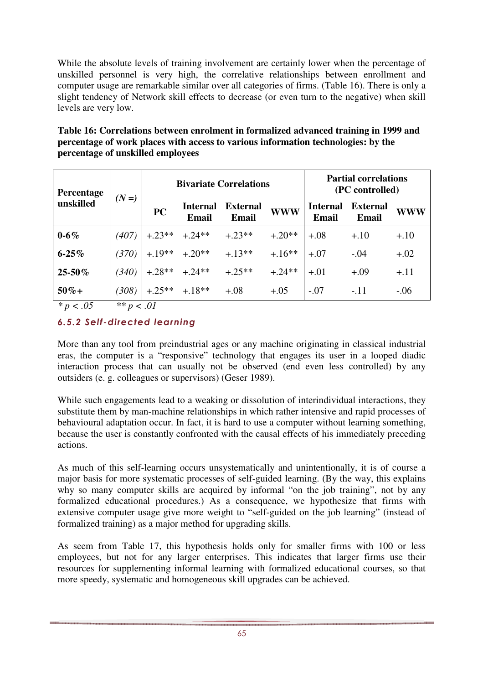While the absolute levels of training involvement are certainly lower when the percentage of unskilled personnel is very high, the correlative relationships between enrollment and computer usage are remarkable similar over all categories of firms. (Table 16). There is only a slight tendency of Network skill effects to decrease (or even turn to the negative) when skill levels are very low.

**Table 16: Correlations between enrolment in formalized advanced training in 1999 and percentage of work places with access to various information technologies: by the percentage of unskilled employees** 

| <b>Percentage</b> | $(N=)$ |                    |                                 | <b>Bivariate Correlations</b> | <b>Partial correlations</b><br>(PC controlled) |                                 |                                 |            |
|-------------------|--------|--------------------|---------------------------------|-------------------------------|------------------------------------------------|---------------------------------|---------------------------------|------------|
| unskilled         |        | PC                 | <b>Internal</b><br><b>Email</b> | <b>External</b><br>Email      | <b>WWW</b>                                     | <b>Internal</b><br><b>Email</b> | <b>External</b><br><b>Email</b> | <b>WWW</b> |
| $0 - 6\%$         | (407)  |                    | $+.23** + .24**$                | $+0.23**$                     | $+0.20**$                                      | $+.08$                          | $+.10$                          | $+.10$     |
| $6 - 25\%$        | (370)  |                    | $+.19** + .20**$                | $+.13**$                      | $+.16**$                                       | $+.07$                          | $-.04$                          | $+.02$     |
| $25 - 50\%$       | (340)  |                    | $+.28** + .24**$                | $+.25**$                      | $+.24**$                                       | $+.01$                          | $+.09$                          | $+.11$     |
| $50\% +$          | (308)  | $+.25***$ $+.18**$ |                                 | $+.08$                        | $+.05$                                         | $-.07$                          | $-.11$                          | $-.06$     |

*\* p < .05 \*\* p < .01* 

### 6.5.2 Self-directed learning

More than any tool from preindustrial ages or any machine originating in classical industrial eras, the computer is a "responsive" technology that engages its user in a looped diadic interaction process that can usually not be observed (end even less controlled) by any outsiders (e. g. colleagues or supervisors) (Geser 1989).

While such engagements lead to a weaking or dissolution of interindividual interactions, they substitute them by man-machine relationships in which rather intensive and rapid processes of behavioural adaptation occur. In fact, it is hard to use a computer without learning something, because the user is constantly confronted with the causal effects of his immediately preceding actions.

As much of this self-learning occurs unsystematically and unintentionally, it is of course a major basis for more systematic processes of self-guided learning. (By the way, this explains why so many computer skills are acquired by informal "on the job training", not by any formalized educational procedures.) As a consequence, we hypothesize that firms with extensive computer usage give more weight to "self-guided on the job learning" (instead of formalized training) as a major method for upgrading skills.

As seem from Table 17, this hypothesis holds only for smaller firms with 100 or less employees, but not for any larger enterprises. This indicates that larger firms use their resources for supplementing informal learning with formalized educational courses, so that more speedy, systematic and homogeneous skill upgrades can be achieved.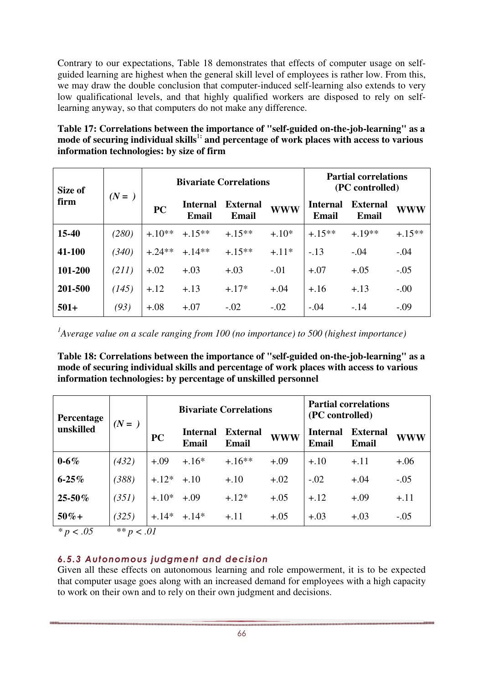Contrary to our expectations, Table 18 demonstrates that effects of computer usage on selfguided learning are highest when the general skill level of employees is rather low. From this, we may draw the double conclusion that computer-induced self-learning also extends to very low qualificational levels, and that highly qualified workers are disposed to rely on selflearning anyway, so that computers do not make any difference.

**Table 17: Correlations between the importance of "self-guided on-the-job-learning" as a**  mode of securing individual skills<sup>1:</sup> and percentage of work places with access to various **information technologies: by size of firm**

| Size of | $(N=)$ |           |                                 | <b>Bivariate Correlations</b>   | <b>Partial correlations</b><br>(PC controlled) |                                 |                          |            |
|---------|--------|-----------|---------------------------------|---------------------------------|------------------------------------------------|---------------------------------|--------------------------|------------|
| firm    |        | <b>PC</b> | <b>Internal</b><br><b>Email</b> | <b>External</b><br><b>Email</b> | <b>WWW</b>                                     | <b>Internal</b><br><b>Email</b> | <b>External</b><br>Email | <b>WWW</b> |
| 15-40   | (280)  | $+.10**$  | $+.15**$                        | $+.15**$                        | $+.10*$                                        | $+15**$                         | $+.19**$                 | $+.15**$   |
| 41-100  | (340)  | $+.24**$  | $+.14**$                        | $+.15**$                        | $+.11*$                                        | $-.13$                          | $-.04$                   | $-.04$     |
| 101-200 | (211)  | $+.02$    | $+.03$                          | $+.03$                          | $-.01$                                         | $+.07$                          | $+.05$                   | $-.05$     |
| 201-500 | (145)  | $+.12$    | $+.13$                          | $+.17*$                         | $+.04$                                         | $+.16$                          | $+.13$                   | $-0.00$    |
| $501+$  | (93)   | $+.08$    | $+.07$                          | $-.02$                          | $-.02$                                         | $-.04$                          | $-.14$                   | $-.09$     |

<sup>1</sup>Average value on a scale ranging from 100 (no importance) to 500 (highest importance)

**Table 18: Correlations between the importance of "self-guided on-the-job-learning" as a mode of securing individual skills and percentage of work places with access to various information technologies: by percentage of unskilled personnel**

| Percentage                | $(N=)$             |           |                                 | <b>Bivariate Correlations</b>   | <b>Partial correlations</b><br>(PC controlled) |                                 |                                 |        |
|---------------------------|--------------------|-----------|---------------------------------|---------------------------------|------------------------------------------------|---------------------------------|---------------------------------|--------|
| unskilled                 |                    | <b>PC</b> | <b>Internal</b><br><b>Email</b> | <b>External</b><br><b>Email</b> | <b>WWW</b>                                     | <b>Internal</b><br><b>Email</b> | <b>External</b><br><b>Email</b> | WWW    |
| $0 - 6\%$                 | (432)              | $+.09$    | $+.16*$                         | $+.16**$                        | $+.09$                                         | $+.10$                          | $+.11$                          | $+.06$ |
| $6 - 25%$                 | (388)              | $+12*$    | $+.10$                          | $+.10$                          | $+.02$                                         | $-.02$                          | $+.04$                          | $-.05$ |
| 25-50%                    | (351)              | $+.10*$   | $+.09$                          | $+.12*$                         | $+.05$                                         | $+.12$                          | $+.09$                          | $+.11$ |
| $50\% +$<br>$*$ $\sim$ 05 | (325)<br>$** - 01$ | $+.14*$   | $+.14*$                         | $+.11$                          | $+.05$                                         | $+.03$                          | $+.03$                          | $-.05$ |

*\* p < .05 \*\* p < .01* 

### 6.5.3 Autonomous judgment and decision

Given all these effects on autonomous learning and role empowerment, it is to be expected that computer usage goes along with an increased demand for employees with a high capacity to work on their own and to rely on their own judgment and decisions.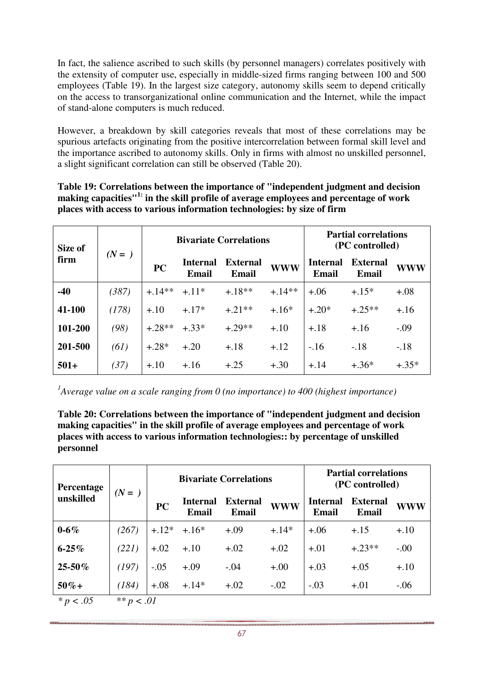In fact, the salience ascribed to such skills (by personnel managers) correlates positively with the extensity of computer use, especially in middle-sized firms ranging between 100 and 500 employees (Table 19). In the largest size category, autonomy skills seem to depend critically on the access to transorganizational online communication and the Internet, while the impact of stand-alone computers is much reduced.

However, a breakdown by skill categories reveals that most of these correlations may be spurious artefacts originating from the positive intercorrelation between formal skill level and the importance ascribed to autonomy skills. Only in firms with almost no unskilled personnel, a slight significant correlation can still be observed (Table 20).

**Table 19: Correlations between the importance of "independent judgment and decision making capacities"1: in the skill profile of average employees and percentage of work places with access to various information technologies: by size of firm**

| Size of | $(N=)$ |          |                          | <b>Bivariate Correlations</b> | <b>Partial correlations</b><br>(PC controlled) |                          |                          |            |
|---------|--------|----------|--------------------------|-------------------------------|------------------------------------------------|--------------------------|--------------------------|------------|
| firm    |        | PC       | <b>Internal</b><br>Email | <b>External</b><br>Email      | <b>WWW</b>                                     | <b>Internal</b><br>Email | <b>External</b><br>Email | <b>WWW</b> |
| $-40$   | (387)  | $+.14**$ | $+.11*$                  | $+.18**$                      | $+.14**$                                       | $+.06$                   | $+.15*$                  | $+.08$     |
| 41-100  | (178)  | $+.10$   | $+.17*$                  | $+.21**$                      | $+.16*$                                        | $+.20*$                  | $+.25**$                 | $+.16$     |
| 101-200 | (98)   | $+.28**$ | $+.33*$                  | $+.29**$                      | $+.10$                                         | $+.18$                   | $+.16$                   | $-.09$     |
| 201-500 | (61)   | $+.28*$  | $+.20$                   | $+.18$                        | $+.12$                                         | $-.16$                   | $-.18$                   | $-.18$     |
| $501+$  | (37)   | $+.10$   | $+.16$                   | $+.25$                        | $+.30$                                         | $+.14$                   | $+.36*$                  | $+.35*$    |

<sup>1</sup>Average value on a scale ranging from 0 (no importance) to 400 (highest importance)

**Table 20: Correlations between the importance of "independent judgment and decision making capacities" in the skill profile of average employees and percentage of work places with access to various information technologies:: by percentage of unskilled personnel**

| Percentage  | $(N=)$       |           |                                 | <b>Bivariate Correlations</b>   | <b>Partial correlations</b><br>(PC controlled) |                          |                                 |            |
|-------------|--------------|-----------|---------------------------------|---------------------------------|------------------------------------------------|--------------------------|---------------------------------|------------|
| unskilled   |              | <b>PC</b> | <b>Internal</b><br><b>Email</b> | <b>External</b><br><b>Email</b> | <b>WWW</b>                                     | <b>Internal</b><br>Email | <b>External</b><br><b>Email</b> | <b>WWW</b> |
| $0 - 6\%$   | (267)        |           | $+.12* + .16*$                  | $+.09$                          | $+.14*$                                        | $+.06$                   | $+.15$                          | $+.10$     |
| $6 - 25%$   | (221)        | $+.02$    | $+.10$                          | $+.02$                          | $+.02$                                         | $+.01$                   | $+.23**$                        | $-.00$     |
| $25 - 50\%$ | (197)        | $-.05$    | $+.09$                          | $-.04$                          | $+0.00$                                        | $+.03$                   | $+.05$                          | $+.10$     |
| $50\% +$    | (184)        | $+.08$    | $+.14*$                         | $+.02$                          | $-.02$                                         | $-.03$                   | $+.01$                          | $-.06$     |
| $* p$ < .05 | ** $p < .01$ |           |                                 |                                 |                                                |                          |                                 |            |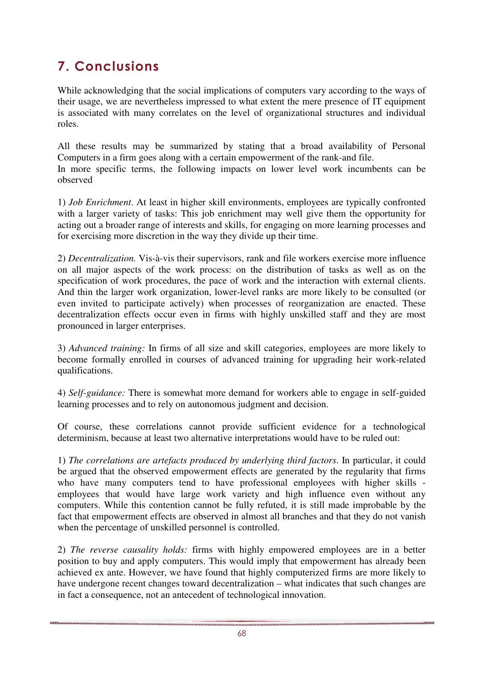# 7. Conclusions

While acknowledging that the social implications of computers vary according to the ways of their usage, we are nevertheless impressed to what extent the mere presence of IT equipment is associated with many correlates on the level of organizational structures and individual roles.

All these results may be summarized by stating that a broad availability of Personal Computers in a firm goes along with a certain empowerment of the rank-and file. In more specific terms, the following impacts on lower level work incumbents can be observed

1) *Job Enrichment*. At least in higher skill environments, employees are typically confronted with a larger variety of tasks: This job enrichment may well give them the opportunity for acting out a broader range of interests and skills, for engaging on more learning processes and for exercising more discretion in the way they divide up their time.

2) *Decentralization.* Vis-à-vis their supervisors, rank and file workers exercise more influence on all major aspects of the work process: on the distribution of tasks as well as on the specification of work procedures, the pace of work and the interaction with external clients. And thin the larger work organization, lower-level ranks are more likely to be consulted (or even invited to participate actively) when processes of reorganization are enacted. These decentralization effects occur even in firms with highly unskilled staff and they are most pronounced in larger enterprises.

3) *Advanced training:* In firms of all size and skill categories, employees are more likely to become formally enrolled in courses of advanced training for upgrading heir work-related qualifications.

4) *Self-guidance:* There is somewhat more demand for workers able to engage in self-guided learning processes and to rely on autonomous judgment and decision.

Of course, these correlations cannot provide sufficient evidence for a technological determinism, because at least two alternative interpretations would have to be ruled out:

1) *The correlations are artefacts produced by underlying third factors*. In particular, it could be argued that the observed empowerment effects are generated by the regularity that firms who have many computers tend to have professional employees with higher skills employees that would have large work variety and high influence even without any computers. While this contention cannot be fully refuted, it is still made improbable by the fact that empowerment effects are observed in almost all branches and that they do not vanish when the percentage of unskilled personnel is controlled.

2) *The reverse causality holds:* firms with highly empowered employees are in a better position to buy and apply computers. This would imply that empowerment has already been achieved ex ante. However, we have found that highly computerized firms are more likely to have undergone recent changes toward decentralization – what indicates that such changes are in fact a consequence, not an antecedent of technological innovation.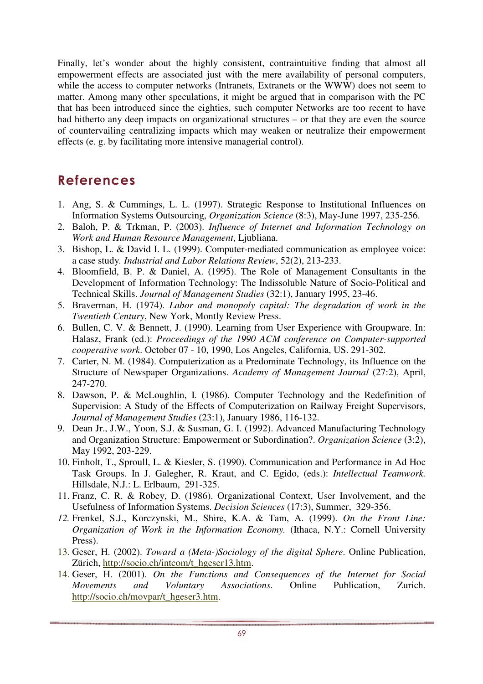Finally, let's wonder about the highly consistent, contraintuitive finding that almost all empowerment effects are associated just with the mere availability of personal computers, while the access to computer networks (Intranets, Extranets or the WWW) does not seem to matter. Among many other speculations, it might be argued that in comparison with the PC that has been introduced since the eighties, such computer Networks are too recent to have had hitherto any deep impacts on organizational structures – or that they are even the source of countervailing centralizing impacts which may weaken or neutralize their empowerment effects (e. g. by facilitating more intensive managerial control).

### References

- 1. Ang, S. & Cummings, L. L. (1997). Strategic Response to Institutional Influences on Information Systems Outsourcing, *Organization Science* (8:3), May-June 1997, 235-256.
- 2. Baloh, P. & Trkman, P. (2003). *Influence of Internet and Information Technology on Work and Human Resource Management*, Ljubliana.
- 3. Bishop, L. & David I. L. (1999). Computer-mediated communication as employee voice: a case study*. Industrial and Labor Relations Review*, 52(2), 213-233.
- 4. Bloomfield, B. P. & Daniel, A. (1995). The Role of Management Consultants in the Development of Information Technology: The Indissoluble Nature of Socio-Political and Technical Skills. *Journal of Management Studies* (32:1), January 1995, 23-46.
- 5. Braverman, H. (1974). *Labor and monopoly capital: The degradation of work in the Twentieth Century*, New York, Montly Review Press.
- 6. Bullen, C. V. & Bennett, J. (1990). Learning from User Experience with Groupware. In: Halasz, Frank (ed.): *Proceedings of the 1990 ACM conference on Computer-supported cooperative work*. October 07 - 10, 1990, Los Angeles, California, US. 291-302.
- 7. Carter, N. M. (1984). Computerization as a Predominate Technology, its Influence on the Structure of Newspaper Organizations. *Academy of Management Journal* (27:2), April, 247-270.
- 8. Dawson, P. & McLoughlin, I. (1986). Computer Technology and the Redefinition of Supervision: A Study of the Effects of Computerization on Railway Freight Supervisors, *Journal of Management Studies* (23:1), January 1986, 116-132.
- 9. Dean Jr., J.W., Yoon, S.J. & Susman, G. I. (1992). Advanced Manufacturing Technology and Organization Structure: Empowerment or Subordination?. *Organization Science* (3:2), May 1992, 203-229.
- 10. Finholt, T., Sproull, L. & Kiesler, S. (1990). Communication and Performance in Ad Hoc Task Groups. In J. Galegher, R. Kraut, and C. Egido, (eds.): *Intellectual Teamwork.* Hillsdale, N.J.: L. Erlbaum, 291-325.
- 11. Franz, C. R. & Robey, D. (1986). Organizational Context, User Involvement, and the Usefulness of Information Systems. *Decision Sciences* (17:3), Summer, 329-356.
- *12.* Frenkel, S.J., Korczynski, M., Shire, K.A. & Tam, A. (1999). *On the Front Line: Organization of Work in the Information Economy.* (Ithaca, N.Y.: Cornell University Press).
- 13. Geser, H. (2002). *Toward a (Meta-)Sociology of the digital Sphere*. Online Publication, Zürich, http://socio.ch/intcom/t\_hgeser13.htm.
- 14. Geser, H. (2001). *On the Functions and Consequences of the Internet for Social Movements and Voluntary Associations*. Online Publication, Zurich. http://socio.ch/movpar/t\_hgeser3.htm.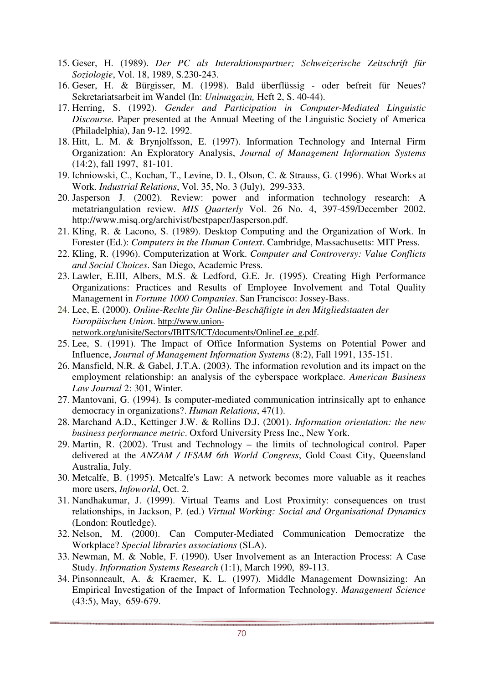- 15. Geser, H. (1989). *Der PC als Interaktionspartner; Schweizerische Zeitschrift für Soziologie*, Vol. 18, 1989, S.230-243.
- 16. Geser, H. & Bürgisser, M. (1998). Bald überflüssig oder befreit für Neues? Sekretariatsarbeit im Wandel (In: *Unimagazin,* Heft 2, S. 40-44).
- 17. Herring, S. (1992). *Gender and Participation in Computer-Mediated Linguistic Discourse.* Paper presented at the Annual Meeting of the Linguistic Society of America (Philadelphia), Jan 9-12. 1992.
- 18. Hitt, L. M. & Brynjolfsson, E. (1997). Information Technology and Internal Firm Organization: An Exploratory Analysis, *Journal of Management Information Systems* (14:2), fall 1997, 81-101.
- 19. Ichniowski, C., Kochan, T., Levine, D. I., Olson, C. & Strauss, G. (1996). What Works at Work. *Industrial Relations*, Vol. 35, No. 3 (July), 299-333.
- 20. Jasperson J. (2002). Review: power and information technology research: A metatriangulation review. *MIS Quarterly* Vol. 26 No. 4, 397-459/December 2002. http://www.misq.org/archivist/bestpaper/Jasperson.pdf.
- 21. Kling, R. & Lacono, S. (1989). Desktop Computing and the Organization of Work. In Forester (Ed.): *Computers in the Human Context*. Cambridge, Massachusetts: MIT Press.
- 22. Kling, R. (1996). Computerization at Work. *Computer and Controversy: Value Conflicts and Social Choices*. San Diego, Academic Press.
- 23. Lawler, E.III, Albers, M.S. & Ledford, G.E. Jr. (1995). Creating High Performance Organizations: Practices and Results of Employee Involvement and Total Quality Management in *Fortune 1000 Companies*. San Francisco: Jossey-Bass.
- 24. Lee, E. (2000). *Online-Rechte für Online-Beschäftigte in den Mitgliedstaaten der Europäischen Union*. http://www.unionnetwork.org/unisite/Sectors/IBITS/ICT/documents/OnlineLee\_g.pdf.
- 25. Lee, S. (1991). The Impact of Office Information Systems on Potential Power and Influence, *Journal of Management Information Systems* (8:2), Fall 1991, 135-151.
- 26. Mansfield, N.R. & Gabel, J.T.A. (2003). The information revolution and its impact on the employment relationship: an analysis of the cyberspace workplace. *American Business Law Journal* 2: 301, Winter.
- 27. Mantovani, G. (1994). Is computer-mediated communication intrinsically apt to enhance democracy in organizations?. *Human Relations*, 47(1).
- 28. Marchand A.D., Kettinger J.W. & Rollins D.J. (2001). *Information orientation: the new business performance metric*. Oxford University Press Inc., New York.
- 29. Martin, R. (2002). Trust and Technology the limits of technological control. Paper delivered at the *ANZAM / IFSAM 6th World Congress*, Gold Coast City, Queensland Australia, July.
- 30. Metcalfe, B. (1995). Metcalfe's Law: A network becomes more valuable as it reaches more users, *Infoworld*, Oct. 2.
- 31. Nandhakumar, J. (1999). Virtual Teams and Lost Proximity: consequences on trust relationships, in Jackson, P. (ed.) *Virtual Working: Social and Organisational Dynamics* (London: Routledge).
- 32. Nelson, M. (2000). Can Computer-Mediated Communication Democratize the Workplace? *Special libraries associations* (SLA).
- 33. Newman, M. & Noble, F. (1990). User Involvement as an Interaction Process: A Case Study. *Information Systems Research* (1:1), March 1990, 89-113.
- 34. Pinsonneault, A. & Kraemer, K. L. (1997). Middle Management Downsizing: An Empirical Investigation of the Impact of Information Technology. *Management Science* (43:5), May, 659-679.